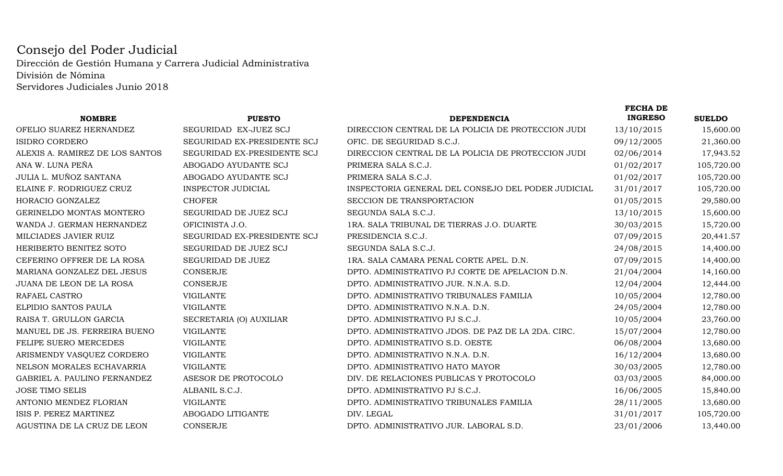## Consejo del Poder Judicial Dirección de Gestión Humana y Carrera Judicial AdministrativaDivisión de NóminaServidores Judiciales Junio 2018

|                                 |                             |                                                    | <b>FECHA DE</b> |               |
|---------------------------------|-----------------------------|----------------------------------------------------|-----------------|---------------|
| <b>NOMBRE</b>                   | <b>PUESTO</b>               | <b>DEPENDENCIA</b>                                 | <b>INGRESO</b>  | <b>SUELDO</b> |
| OFELIO SUAREZ HERNANDEZ         | SEGURIDAD EX-JUEZ SCJ       | DIRECCION CENTRAL DE LA POLICIA DE PROTECCION JUDI | 13/10/2015      | 15,600.00     |
| <b>ISIDRO CORDERO</b>           | SEGURIDAD EX-PRESIDENTE SCJ | OFIC. DE SEGURIDAD S.C.J.                          | 09/12/2005      | 21,360.00     |
| ALEXIS A. RAMIREZ DE LOS SANTOS | SEGURIDAD EX-PRESIDENTE SCJ | DIRECCION CENTRAL DE LA POLICIA DE PROTECCION JUDI | 02/06/2014      | 17,943.52     |
| ANA W. LUNA PEÑA                | ABOGADO AYUDANTE SCJ        | PRIMERA SALA S.C.J.                                | 01/02/2017      | 105,720.00    |
| JULIA L. MUÑOZ SANTANA          | ABOGADO AYUDANTE SCJ        | PRIMERA SALA S.C.J.                                | 01/02/2017      | 105,720.00    |
| ELAINE F. RODRIGUEZ CRUZ        | <b>INSPECTOR JUDICIAL</b>   | INSPECTORIA GENERAL DEL CONSEJO DEL PODER JUDICIAL | 31/01/2017      | 105,720.00    |
| HORACIO GONZALEZ                | <b>CHOFER</b>               | SECCION DE TRANSPORTACION                          | 01/05/2015      | 29,580.00     |
| GERINELDO MONTAS MONTERO        | SEGURIDAD DE JUEZ SCJ       | SEGUNDA SALA S.C.J.                                | 13/10/2015      | 15,600.00     |
| WANDA J. GERMAN HERNANDEZ       | OFICINISTA J.O.             | 1RA. SALA TRIBUNAL DE TIERRAS J.O. DUARTE          | 30/03/2015      | 15,720.00     |
| MILCIADES JAVIER RUIZ           | SEGURIDAD EX-PRESIDENTE SCJ | PRESIDENCIA S.C.J.                                 | 07/09/2015      | 20,441.57     |
| HERIBERTO BENITEZ SOTO          | SEGURIDAD DE JUEZ SCJ       | SEGUNDA SALA S.C.J.                                | 24/08/2015      | 14,400.00     |
| CEFERINO OFFRER DE LA ROSA      | SEGURIDAD DE JUEZ           | 1RA. SALA CAMARA PENAL CORTE APEL. D.N.            | 07/09/2015      | 14,400.00     |
| MARIANA GONZALEZ DEL JESUS      | <b>CONSERJE</b>             | DPTO. ADMINISTRATIVO PJ CORTE DE APELACION D.N.    | 21/04/2004      | 14,160.00     |
| JUANA DE LEON DE LA ROSA        | <b>CONSERJE</b>             | DPTO. ADMINISTRATIVO JUR. N.N.A. S.D.              | 12/04/2004      | 12,444.00     |
| RAFAEL CASTRO                   | <b>VIGILANTE</b>            | DPTO. ADMINISTRATIVO TRIBUNALES FAMILIA            | 10/05/2004      | 12,780.00     |
| ELPIDIO SANTOS PAULA            | <b>VIGILANTE</b>            | DPTO. ADMINISTRATIVO N.N.A. D.N.                   | 24/05/2004      | 12,780.00     |
| RAISA T. GRULLON GARCIA         | SECRETARIA (O) AUXILIAR     | DPTO. ADMINISTRATIVO PJ S.C.J.                     | 10/05/2004      | 23,760.00     |
| MANUEL DE JS. FERREIRA BUENO    | <b>VIGILANTE</b>            | DPTO. ADMINISTRATIVO JDOS. DE PAZ DE LA 2DA. CIRC. | 15/07/2004      | 12,780.00     |
| FELIPE SUERO MERCEDES           | <b>VIGILANTE</b>            | DPTO. ADMINISTRATIVO S.D. OESTE                    | 06/08/2004      | 13,680.00     |
| ARISMENDY VASQUEZ CORDERO       | <b>VIGILANTE</b>            | DPTO. ADMINISTRATIVO N.N.A. D.N.                   | 16/12/2004      | 13,680.00     |
| NELSON MORALES ECHAVARRIA       | <b>VIGILANTE</b>            | DPTO. ADMINISTRATIVO HATO MAYOR                    | 30/03/2005      | 12,780.00     |
| GABRIEL A. PAULINO FERNANDEZ    | ASESOR DE PROTOCOLO         | DIV. DE RELACIONES PUBLICAS Y PROTOCOLO            | 03/03/2005      | 84,000.00     |
| JOSE TIMO SELIS                 | ALBANIL S.C.J.              | DPTO. ADMINISTRATIVO PJ S.C.J.                     | 16/06/2005      | 15,840.00     |
| ANTONIO MENDEZ FLORIAN          | <b>VIGILANTE</b>            | DPTO. ADMINISTRATIVO TRIBUNALES FAMILIA            | 28/11/2005      | 13,680.00     |
| ISIS P. PEREZ MARTINEZ          | ABOGADO LITIGANTE           | DIV. LEGAL                                         | 31/01/2017      | 105,720.00    |
| AGUSTINA DE LA CRUZ DE LEON     | CONSERJE                    | DPTO. ADMINISTRATIVO JUR. LABORAL S.D.             | 23/01/2006      | 13,440.00     |
|                                 |                             |                                                    |                 |               |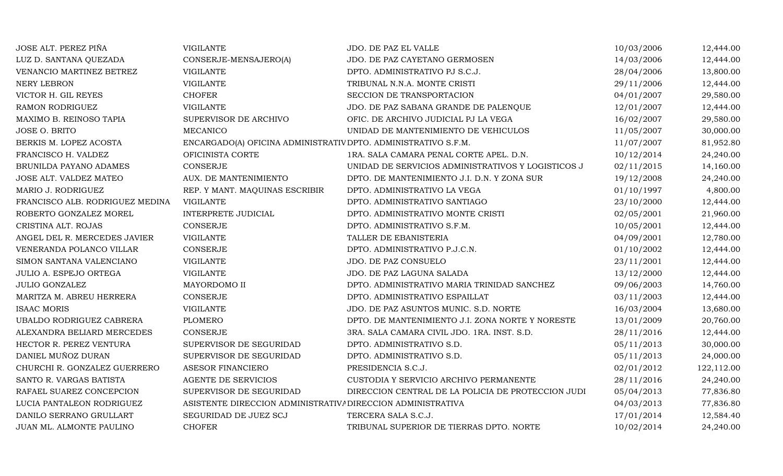| JOSE ALT. PEREZ PIÑA            | <b>VIGILANTE</b>                                               | JDO. DE PAZ EL VALLE                               | 10/03/2006 | 12,444.00  |
|---------------------------------|----------------------------------------------------------------|----------------------------------------------------|------------|------------|
| LUZ D. SANTANA QUEZADA          | CONSERJE-MENSAJERO(A)                                          | JDO. DE PAZ CAYETANO GERMOSEN                      | 14/03/2006 | 12,444.00  |
| VENANCIO MARTINEZ BETREZ        | <b>VIGILANTE</b>                                               | DPTO. ADMINISTRATIVO PJ S.C.J.                     | 28/04/2006 | 13,800.00  |
| <b>NERY LEBRON</b>              | <b>VIGILANTE</b>                                               | TRIBUNAL N.N.A. MONTE CRISTI                       | 29/11/2006 | 12,444.00  |
| VICTOR H. GIL REYES             | <b>CHOFER</b>                                                  | SECCION DE TRANSPORTACION                          | 04/01/2007 | 29,580.00  |
| RAMON RODRIGUEZ                 | VIGILANTE                                                      | JDO. DE PAZ SABANA GRANDE DE PALENQUE              | 12/01/2007 | 12,444.00  |
| MAXIMO B. REINOSO TAPIA         | SUPERVISOR DE ARCHIVO                                          | OFIC. DE ARCHIVO JUDICIAL PJ LA VEGA               | 16/02/2007 | 29,580.00  |
| <b>JOSE O. BRITO</b>            | <b>MECANICO</b>                                                | UNIDAD DE MANTENIMIENTO DE VEHICULOS               | 11/05/2007 | 30,000.00  |
| BERKIS M. LOPEZ ACOSTA          | ENCARGADO(A) OFICINA ADMINISTRATIV DPTO. ADMINISTRATIVO S.F.M. |                                                    | 11/07/2007 | 81,952.80  |
| FRANCISCO H. VALDEZ             | OFICINISTA CORTE                                               | 1RA. SALA CAMARA PENAL CORTE APEL. D.N.            | 10/12/2014 | 24,240.00  |
| BRUNILDA PAYANO ADAMES          | <b>CONSERJE</b>                                                | UNIDAD DE SERVICIOS ADMINISTRATIVOS Y LOGISTICOS J | 02/11/2015 | 14,160.00  |
| JOSE ALT. VALDEZ MATEO          | AUX. DE MANTENIMIENTO                                          | DPTO. DE MANTENIMIENTO J.I. D.N. Y ZONA SUR        | 19/12/2008 | 24,240.00  |
| MARIO J. RODRIGUEZ              | REP. Y MANT. MAQUINAS ESCRIBIR                                 | DPTO. ADMINISTRATIVO LA VEGA                       | 01/10/1997 | 4,800.00   |
| FRANCISCO ALB. RODRIGUEZ MEDINA | <b>VIGILANTE</b>                                               | DPTO. ADMINISTRATIVO SANTIAGO                      | 23/10/2000 | 12,444.00  |
| ROBERTO GONZALEZ MOREL          | INTERPRETE JUDICIAL                                            | DPTO. ADMINISTRATIVO MONTE CRISTI                  | 02/05/2001 | 21,960.00  |
| CRISTINA ALT. ROJAS             | <b>CONSERJE</b>                                                | DPTO. ADMINISTRATIVO S.F.M.                        | 10/05/2001 | 12,444.00  |
| ANGEL DEL R. MERCEDES JAVIER    | <b>VIGILANTE</b>                                               | TALLER DE EBANISTERIA                              | 04/09/2001 | 12,780.00  |
| VENERANDA POLANCO VILLAR        | <b>CONSERJE</b>                                                | DPTO. ADMINISTRATIVO P.J.C.N.                      | 01/10/2002 | 12,444.00  |
| SIMON SANTANA VALENCIANO        | <b>VIGILANTE</b>                                               | JDO. DE PAZ CONSUELO                               | 23/11/2001 | 12,444.00  |
| JULIO A. ESPEJO ORTEGA          | VIGILANTE                                                      | JDO. DE PAZ LAGUNA SALADA                          | 13/12/2000 | 12,444.00  |
| <b>JULIO GONZALEZ</b>           | MAYORDOMO II                                                   | DPTO. ADMINISTRATIVO MARIA TRINIDAD SANCHEZ        | 09/06/2003 | 14,760.00  |
| MARITZA M. ABREU HERRERA        | <b>CONSERJE</b>                                                | DPTO. ADMINISTRATIVO ESPAILLAT                     | 03/11/2003 | 12,444.00  |
| <b>ISAAC MORIS</b>              | <b>VIGILANTE</b>                                               | JDO. DE PAZ ASUNTOS MUNIC. S.D. NORTE              | 16/03/2004 | 13,680.00  |
| UBALDO RODRIGUEZ CABRERA        | <b>PLOMERO</b>                                                 | DPTO. DE MANTENIMIENTO J.I. ZONA NORTE Y NORESTE   | 13/01/2009 | 20,760.00  |
| ALEXANDRA BELIARD MERCEDES      | <b>CONSERJE</b>                                                | 3RA. SALA CAMARA CIVIL JDO. 1RA. INST. S.D.        | 28/11/2016 | 12,444.00  |
| HECTOR R. PEREZ VENTURA         | SUPERVISOR DE SEGURIDAD                                        | DPTO. ADMINISTRATIVO S.D.                          | 05/11/2013 | 30,000.00  |
| DANIEL MUÑOZ DURAN              | SUPERVISOR DE SEGURIDAD                                        | DPTO. ADMINISTRATIVO S.D.                          | 05/11/2013 | 24,000.00  |
| CHURCHI R. GONZALEZ GUERRERO    | ASESOR FINANCIERO                                              | PRESIDENCIA S.C.J.                                 | 02/01/2012 | 122,112.00 |
| SANTO R. VARGAS BATISTA         | AGENTE DE SERVICIOS                                            | CUSTODIA Y SERVICIO ARCHIVO PERMANENTE             | 28/11/2016 | 24,240.00  |
| RAFAEL SUAREZ CONCEPCION        | SUPERVISOR DE SEGURIDAD                                        | DIRECCION CENTRAL DE LA POLICIA DE PROTECCION JUDI | 05/04/2013 | 77,836.80  |
| LUCIA PANTALEON RODRIGUEZ       | ASISTENTE DIRECCION ADMINISTRATIVA DIRECCION ADMINISTRATIVA    |                                                    | 04/03/2013 | 77,836.80  |
| DANILO SERRANO GRULLART         | SEGURIDAD DE JUEZ SCJ                                          | TERCERA SALA S.C.J.                                | 17/01/2014 | 12,584.40  |
| JUAN ML. ALMONTE PAULINO        | <b>CHOFER</b>                                                  | TRIBUNAL SUPERIOR DE TIERRAS DPTO. NORTE           | 10/02/2014 | 24,240.00  |
|                                 |                                                                |                                                    |            |            |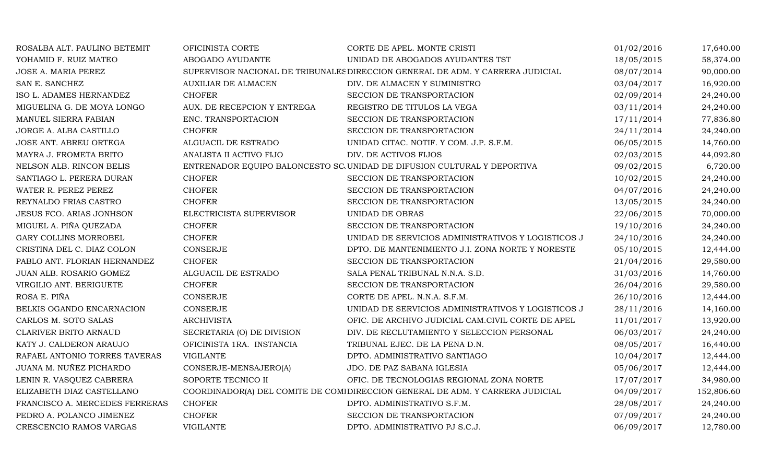| ROSALBA ALT. PAULINO BETEMIT    | OFICINISTA CORTE            | CORTE DE APEL. MONTE CRISTI                                                    | 01/02/2016 | 17,640.00  |
|---------------------------------|-----------------------------|--------------------------------------------------------------------------------|------------|------------|
| YOHAMID F. RUIZ MATEO           | ABOGADO AYUDANTE            | UNIDAD DE ABOGADOS AYUDANTES TST                                               | 18/05/2015 | 58,374.00  |
| JOSE A. MARIA PEREZ             |                             | SUPERVISOR NACIONAL DE TRIBUNALES DIRECCION GENERAL DE ADM. Y CARRERA JUDICIAL | 08/07/2014 | 90,000.00  |
| SAN E. SANCHEZ                  | <b>AUXILIAR DE ALMACEN</b>  | DIV. DE ALMACEN Y SUMINISTRO                                                   | 03/04/2017 | 16,920.00  |
| ISO L. ADAMES HERNANDEZ         | <b>CHOFER</b>               | SECCION DE TRANSPORTACION                                                      | 02/09/2014 | 24,240.00  |
| MIGUELINA G. DE MOYA LONGO      | AUX. DE RECEPCION Y ENTREGA | REGISTRO DE TITULOS LA VEGA                                                    | 03/11/2014 | 24,240.00  |
| MANUEL SIERRA FABIAN            | ENC. TRANSPORTACION         | SECCION DE TRANSPORTACION                                                      | 17/11/2014 | 77,836.80  |
| JORGE A. ALBA CASTILLO          | <b>CHOFER</b>               | SECCION DE TRANSPORTACION                                                      | 24/11/2014 | 24,240.00  |
| JOSE ANT. ABREU ORTEGA          | ALGUACIL DE ESTRADO         | UNIDAD CITAC. NOTIF. Y COM. J.P. S.F.M.                                        | 06/05/2015 | 14,760.00  |
| MAYRA J. FROMETA BRITO          | ANALISTA II ACTIVO FIJO     | DIV. DE ACTIVOS FIJOS                                                          | 02/03/2015 | 44,092.80  |
| NELSON ALB. RINCON BELIS        |                             | ENTRENADOR EQUIPO BALONCESTO SC. UNIDAD DE DIFUSION CULTURAL Y DEPORTIVA       | 09/02/2015 | 6,720.00   |
| SANTIAGO L. PERERA DURAN        | <b>CHOFER</b>               | SECCION DE TRANSPORTACION                                                      | 10/02/2015 | 24,240.00  |
| WATER R. PEREZ PEREZ            | <b>CHOFER</b>               | SECCION DE TRANSPORTACION                                                      | 04/07/2016 | 24,240.00  |
| REYNALDO FRIAS CASTRO           | <b>CHOFER</b>               | SECCION DE TRANSPORTACION                                                      | 13/05/2015 | 24,240.00  |
| <b>JESUS FCO. ARIAS JONHSON</b> | ELECTRICISTA SUPERVISOR     | UNIDAD DE OBRAS                                                                | 22/06/2015 | 70,000.00  |
| MIGUEL A. PIÑA QUEZADA          | <b>CHOFER</b>               | SECCION DE TRANSPORTACION                                                      | 19/10/2016 | 24,240.00  |
| GARY COLLINS MORROBEL           | <b>CHOFER</b>               | UNIDAD DE SERVICIOS ADMINISTRATIVOS Y LOGISTICOS J                             | 24/10/2016 | 24,240.00  |
| CRISTINA DEL C. DIAZ COLON      | <b>CONSERJE</b>             | DPTO. DE MANTENIMIENTO J.I. ZONA NORTE Y NORESTE                               | 05/10/2015 | 12,444.00  |
| PABLO ANT. FLORIAN HERNANDEZ    | <b>CHOFER</b>               | SECCION DE TRANSPORTACION                                                      | 21/04/2016 | 29,580.00  |
| JUAN ALB. ROSARIO GOMEZ         | ALGUACIL DE ESTRADO         | SALA PENAL TRIBUNAL N.N.A. S.D.                                                | 31/03/2016 | 14,760.00  |
| VIRGILIO ANT. BERIGUETE         | <b>CHOFER</b>               | SECCION DE TRANSPORTACION                                                      | 26/04/2016 | 29,580.00  |
| ROSA E. PIÑA                    | <b>CONSERJE</b>             | CORTE DE APEL. N.N.A. S.F.M.                                                   | 26/10/2016 | 12,444.00  |
| BELKIS OGANDO ENCARNACION       | CONSERJE                    | UNIDAD DE SERVICIOS ADMINISTRATIVOS Y LOGISTICOS J                             | 28/11/2016 | 14,160.00  |
| CARLOS M. SOTO SALAS            | <b>ARCHIVISTA</b>           | OFIC. DE ARCHIVO JUDICIAL CAM.CIVIL CORTE DE APEL                              | 11/01/2017 | 13,920.00  |
| CLARIVER BRITO ARNAUD           | SECRETARIA (O) DE DIVISION  | DIV. DE RECLUTAMIENTO Y SELECCION PERSONAL                                     | 06/03/2017 | 24,240.00  |
| KATY J. CALDERON ARAUJO         | OFICINISTA 1RA. INSTANCIA   | TRIBUNAL EJEC. DE LA PENA D.N.                                                 | 08/05/2017 | 16,440.00  |
| RAFAEL ANTONIO TORRES TAVERAS   | <b>VIGILANTE</b>            | DPTO. ADMINISTRATIVO SANTIAGO                                                  | 10/04/2017 | 12,444.00  |
| JUANA M. NUÑEZ PICHARDO         | CONSERJE-MENSAJERO(A)       | JDO. DE PAZ SABANA IGLESIA                                                     | 05/06/2017 | 12,444.00  |
| LENIN R. VASQUEZ CABRERA        | SOPORTE TECNICO II          | OFIC. DE TECNOLOGIAS REGIONAL ZONA NORTE                                       | 17/07/2017 | 34,980.00  |
| ELIZABETH DIAZ CASTELLANO       |                             | COORDINADOR(A) DEL COMITE DE COMIDIRECCION GENERAL DE ADM. Y CARRERA JUDICIAL  | 04/09/2017 | 152,806.60 |
| FRANCISCO A. MERCEDES FERRERAS  | <b>CHOFER</b>               | DPTO. ADMINISTRATIVO S.F.M.                                                    | 28/08/2017 | 24,240.00  |
| PEDRO A. POLANCO JIMENEZ        | <b>CHOFER</b>               | SECCION DE TRANSPORTACION                                                      | 07/09/2017 | 24,240.00  |
| CRESCENCIO RAMOS VARGAS         | <b>VIGILANTE</b>            | DPTO. ADMINISTRATIVO PJ S.C.J.                                                 | 06/09/2017 | 12,780.00  |
|                                 |                             |                                                                                |            |            |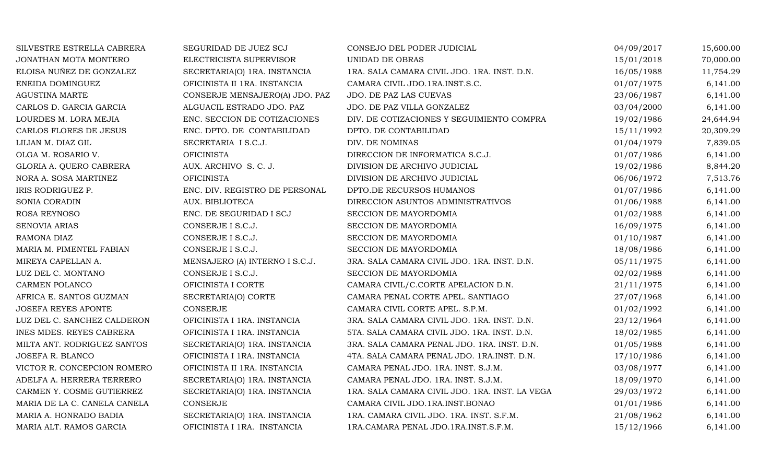| SILVESTRE ESTRELLA CABRERA   | SEGURIDAD DE JUEZ SCJ          | CONSEJO DEL PODER JUDICIAL                     | 04/09/2017 | 15,600.00 |
|------------------------------|--------------------------------|------------------------------------------------|------------|-----------|
| JONATHAN MOTA MONTERO        | ELECTRICISTA SUPERVISOR        | <b>UNIDAD DE OBRAS</b>                         | 15/01/2018 | 70,000.00 |
| ELOISA NUÑEZ DE GONZALEZ     | SECRETARIA(O) 1RA. INSTANCIA   | 1RA. SALA CAMARA CIVIL JDO. 1RA. INST. D.N.    | 16/05/1988 | 11,754.29 |
| ENEIDA DOMINGUEZ             | OFICINISTA II 1RA. INSTANCIA   | CAMARA CIVIL JDO.1RA.INST.S.C.                 | 01/07/1975 | 6,141.00  |
| AGUSTINA MARTE               | CONSERJE MENSAJERO(A) JDO. PAZ | JDO. DE PAZ LAS CUEVAS                         | 23/06/1987 | 6,141.00  |
| CARLOS D. GARCIA GARCIA      | ALGUACIL ESTRADO JDO. PAZ      | JDO. DE PAZ VILLA GONZALEZ                     | 03/04/2000 | 6,141.00  |
| LOURDES M. LORA MEJIA        | ENC. SECCION DE COTIZACIONES   | DIV. DE COTIZACIONES Y SEGUIMIENTO COMPRA      | 19/02/1986 | 24,644.94 |
| CARLOS FLORES DE JESUS       | ENC. DPTO. DE CONTABILIDAD     | DPTO. DE CONTABILIDAD                          | 15/11/1992 | 20,309.29 |
| LILIAN M. DIAZ GIL           | SECRETARIA I S.C.J.            | DIV. DE NOMINAS                                | 01/04/1979 | 7,839.05  |
| OLGA M. ROSARIO V.           | <b>OFICINISTA</b>              | DIRECCION DE INFORMATICA S.C.J.                | 01/07/1986 | 6,141.00  |
| GLORIA A. QUERO CABRERA      | AUX. ARCHIVO S. C. J.          | DIVISION DE ARCHIVO JUDICIAL                   | 19/02/1986 | 8,844.20  |
| NORA A. SOSA MARTINEZ        | <b>OFICINISTA</b>              | DIVISION DE ARCHIVO JUDICIAL                   | 06/06/1972 | 7,513.76  |
| IRIS RODRIGUEZ P.            | ENC. DIV. REGISTRO DE PERSONAL | DPTO.DE RECURSOS HUMANOS                       | 01/07/1986 | 6,141.00  |
| SONIA CORADIN                | AUX. BIBLIOTECA                | DIRECCION ASUNTOS ADMINISTRATIVOS              | 01/06/1988 | 6,141.00  |
| ROSA REYNOSO                 | ENC. DE SEGURIDAD I SCJ        | SECCION DE MAYORDOMIA                          | 01/02/1988 | 6,141.00  |
| <b>SENOVIA ARIAS</b>         | CONSERJE I S.C.J.              | SECCION DE MAYORDOMIA                          | 16/09/1975 | 6,141.00  |
| RAMONA DIAZ                  | CONSERJE I S.C.J.              | SECCION DE MAYORDOMIA                          | 01/10/1987 | 6,141.00  |
| MARIA M. PIMENTEL FABIAN     | CONSERJE I S.C.J.              | SECCION DE MAYORDOMIA                          | 18/08/1986 | 6,141.00  |
| MIREYA CAPELLAN A.           | MENSAJERO (A) INTERNO I S.C.J. | 3RA. SALA CAMARA CIVIL JDO. 1RA. INST. D.N.    | 05/11/1975 | 6,141.00  |
| LUZ DEL C. MONTANO           | CONSERJE I S.C.J.              | SECCION DE MAYORDOMIA                          | 02/02/1988 | 6,141.00  |
| CARMEN POLANCO               | OFICINISTA I CORTE             | CAMARA CIVIL/C.CORTE APELACION D.N.            | 21/11/1975 | 6,141.00  |
| AFRICA E. SANTOS GUZMAN      | SECRETARIA(O) CORTE            | CAMARA PENAL CORTE APEL. SANTIAGO              | 27/07/1968 | 6,141.00  |
| <b>JOSEFA REYES APONTE</b>   | <b>CONSERJE</b>                | CAMARA CIVIL CORTE APEL. S.P.M.                | 01/02/1992 | 6,141.00  |
| LUZ DEL C. SANCHEZ CALDERON  | OFICINISTA I 1RA. INSTANCIA    | 3RA. SALA CAMARA CIVIL JDO. 1RA. INST. D.N.    | 23/12/1964 | 6,141.00  |
| INES MDES. REYES CABRERA     | OFICINISTA I 1RA. INSTANCIA    | 5TA. SALA CAMARA CIVIL JDO. 1RA. INST. D.N.    | 18/02/1985 | 6,141.00  |
| MILTA ANT. RODRIGUEZ SANTOS  | SECRETARIA(O) 1RA. INSTANCIA   | 3RA. SALA CAMARA PENAL JDO. 1RA. INST. D.N.    | 01/05/1988 | 6,141.00  |
| JOSEFA R. BLANCO             | OFICINISTA I 1RA. INSTANCIA    | 4TA. SALA CAMARA PENAL JDO. 1RA.INST. D.N.     | 17/10/1986 | 6,141.00  |
| VICTOR R. CONCEPCION ROMERO  | OFICINISTA II 1RA. INSTANCIA   | CAMARA PENAL JDO. 1RA. INST. S.J.M.            | 03/08/1977 | 6,141.00  |
| ADELFA A. HERRERA TERRERO    | SECRETARIA(O) 1RA. INSTANCIA   | CAMARA PENAL JDO. 1RA. INST. S.J.M.            | 18/09/1970 | 6,141.00  |
| CARMEN Y. COSME GUTIERREZ    | SECRETARIA(O) 1RA. INSTANCIA   | 1RA. SALA CAMARA CIVIL JDO. 1RA. INST. LA VEGA | 29/03/1972 | 6,141.00  |
| MARIA DE LA C. CANELA CANELA | CONSERJE                       | CAMARA CIVIL JDO.1RA.INST.BONAO                | 01/01/1986 | 6,141.00  |
| MARIA A. HONRADO BADIA       | SECRETARIA(O) 1RA. INSTANCIA   | 1RA. CAMARA CIVIL JDO. 1RA. INST. S.F.M.       | 21/08/1962 | 6,141.00  |
| MARIA ALT. RAMOS GARCIA      | OFICINISTA I 1RA. INSTANCIA    | 1RA.CAMARA PENAL JDO.1RA.INST.S.F.M.           | 15/12/1966 | 6,141.00  |
|                              |                                |                                                |            |           |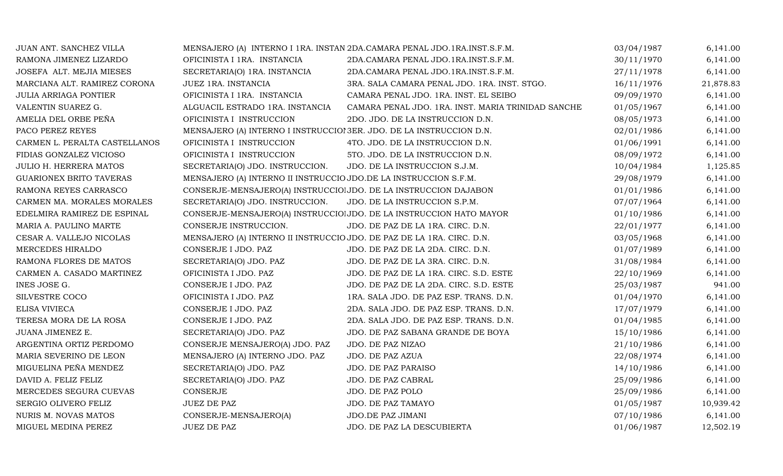| JUAN ANT. SANCHEZ VILLA        |                                                                       | MENSAJERO (A) INTERNO I 1RA. INSTAN 2DA.CAMARA PENAL JDO.1RA.INST.S.F.M. | 03/04/1987 | 6,141.00  |
|--------------------------------|-----------------------------------------------------------------------|--------------------------------------------------------------------------|------------|-----------|
| RAMONA JIMENEZ LIZARDO         | OFICINISTA I 1RA. INSTANCIA                                           | 2DA.CAMARA PENAL JDO.1RA.INST.S.F.M.                                     | 30/11/1970 | 6,141.00  |
| JOSEFA ALT. MEJIA MIESES       | SECRETARIA(O) 1RA. INSTANCIA                                          | 2DA.CAMARA PENAL JDO.1RA.INST.S.F.M.                                     | 27/11/1978 | 6,141.00  |
| MARCIANA ALT. RAMIREZ CORONA   | JUEZ 1RA. INSTANCIA                                                   | 3RA. SALA CAMARA PENAL JDO. 1RA. INST. STGO.                             | 16/11/1976 | 21,878.83 |
| <b>JULIA ARRIAGA PONTIER</b>   | OFICINISTA I 1RA. INSTANCIA                                           | CAMARA PENAL JDO. 1RA. INST. EL SEIBO                                    | 09/09/1970 | 6,141.00  |
| VALENTIN SUAREZ G.             | ALGUACIL ESTRADO 1RA. INSTANCIA                                       | CAMARA PENAL JDO. 1RA. INST. MARIA TRINIDAD SANCHE                       | 01/05/1967 | 6,141.00  |
| AMELIA DEL ORBE PEÑA           | OFICINISTA I INSTRUCCION                                              | 2DO. JDO. DE LA INSTRUCCION D.N.                                         | 08/05/1973 | 6,141.00  |
| PACO PEREZ REYES               | MENSAJERO (A) INTERNO I INSTRUCCIOI 3ER. JDO. DE LA INSTRUCCION D.N.  |                                                                          | 02/01/1986 | 6,141.00  |
| CARMEN L. PERALTA CASTELLANOS  | OFICINISTA I INSTRUCCION                                              | 4TO. JDO. DE LA INSTRUCCION D.N.                                         | 01/06/1991 | 6,141.00  |
| FIDIAS GONZALEZ VICIOSO        | OFICINISTA I INSTRUCCION                                              | 5TO. JDO. DE LA INSTRUCCION D.N.                                         | 08/09/1972 | 6,141.00  |
| JULIO H. HERRERA MATOS         | SECRETARIA(O) JDO. INSTRUCCION.                                       | JDO. DE LA INSTRUCCION S.J.M.                                            | 10/04/1984 | 1,125.85  |
| <b>GUARIONEX BRITO TAVERAS</b> | MENSAJERO (A) INTERNO II INSTRUCCIO JDO.DE LA INSTRUCCION S.F.M.      |                                                                          | 29/08/1979 | 6,141.00  |
| RAMONA REYES CARRASCO          | CONSERJE-MENSAJERO(A) INSTRUCCIO JDO. DE LA INSTRUCCION DAJABON       |                                                                          | 01/01/1986 | 6,141.00  |
| CARMEN MA. MORALES MORALES     | SECRETARIA(O) JDO. INSTRUCCION.                                       | JDO. DE LA INSTRUCCION S.P.M.                                            | 07/07/1964 | 6,141.00  |
| EDELMIRA RAMIREZ DE ESPINAL    |                                                                       | CONSERJE-MENSAJERO(A) INSTRUCCIO JDO. DE LA INSTRUCCION HATO MAYOR       | 01/10/1986 | 6,141.00  |
| MARIA A. PAULINO MARTE         | CONSERJE INSTRUCCION.                                                 | JDO. DE PAZ DE LA 1RA. CIRC. D.N.                                        | 22/01/1977 | 6,141.00  |
| CESAR A. VALLEJO NICOLAS       | MENSAJERO (A) INTERNO II INSTRUCCIO JDO. DE PAZ DE LA 1RA. CIRC. D.N. |                                                                          | 03/05/1968 | 6,141.00  |
| MERCEDES HIRALDO               | CONSERJE I JDO. PAZ                                                   | JDO. DE PAZ DE LA 2DA. CIRC. D.N.                                        | 01/07/1989 | 6,141.00  |
| RAMONA FLORES DE MATOS         | SECRETARIA(O) JDO. PAZ                                                | JDO. DE PAZ DE LA 3RA. CIRC. D.N.                                        | 31/08/1984 | 6,141.00  |
| CARMEN A. CASADO MARTINEZ      | OFICINISTA I JDO. PAZ                                                 | JDO. DE PAZ DE LA 1RA. CIRC. S.D. ESTE                                   | 22/10/1969 | 6,141.00  |
| INES JOSE G.                   | CONSERJE I JDO. PAZ                                                   | JDO. DE PAZ DE LA 2DA. CIRC. S.D. ESTE                                   | 25/03/1987 | 941.00    |
| SILVESTRE COCO                 | OFICINISTA I JDO. PAZ                                                 | 1RA. SALA JDO. DE PAZ ESP. TRANS. D.N.                                   | 01/04/1970 | 6,141.00  |
| ELISA VIVIECA                  | CONSERJE I JDO. PAZ                                                   | 2DA. SALA JDO. DE PAZ ESP. TRANS. D.N.                                   | 17/07/1979 | 6,141.00  |
| TERESA MORA DE LA ROSA         | CONSERJE I JDO. PAZ                                                   | 2DA. SALA JDO. DE PAZ ESP. TRANS. D.N.                                   | 01/04/1985 | 6,141.00  |
| JUANA JIMENEZ E.               | SECRETARIA(O) JDO. PAZ                                                | JDO. DE PAZ SABANA GRANDE DE BOYA                                        | 15/10/1986 | 6,141.00  |
| ARGENTINA ORTIZ PERDOMO        | CONSERJE MENSAJERO(A) JDO. PAZ                                        | JDO. DE PAZ NIZAO                                                        | 21/10/1986 | 6,141.00  |
| MARIA SEVERINO DE LEON         | MENSAJERO (A) INTERNO JDO. PAZ                                        | JDO. DE PAZ AZUA                                                         | 22/08/1974 | 6,141.00  |
| MIGUELINA PEÑA MENDEZ          | SECRETARIA(O) JDO. PAZ                                                | JDO. DE PAZ PARAISO                                                      | 14/10/1986 | 6,141.00  |
| DAVID A. FELIZ FELIZ           | SECRETARIA(O) JDO. PAZ                                                | JDO. DE PAZ CABRAL                                                       | 25/09/1986 | 6,141.00  |
| MERCEDES SEGURA CUEVAS         | CONSERJE                                                              | JDO. DE PAZ POLO                                                         | 25/09/1986 | 6,141.00  |
| SERGIO OLIVERO FELIZ           | <b>JUEZ DE PAZ</b>                                                    | JDO. DE PAZ TAMAYO                                                       | 01/05/1987 | 10,939.42 |
| NURIS M. NOVAS MATOS           | CONSERJE-MENSAJERO(A)                                                 | JDO.DE PAZ JIMANI                                                        | 07/10/1986 | 6,141.00  |
| MIGUEL MEDINA PEREZ            | JUEZ DE PAZ                                                           | JDO. DE PAZ LA DESCUBIERTA                                               | 01/06/1987 | 12,502.19 |
|                                |                                                                       |                                                                          |            |           |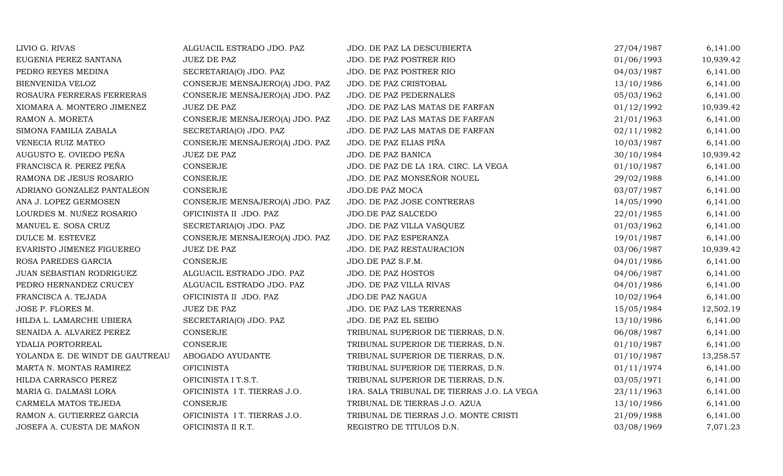| LIVIO G. RIVAS                  | ALGUACIL ESTRADO JDO. PAZ      | JDO. DE PAZ LA DESCUBIERTA                 | 27/04/1987 | 6,141.00  |
|---------------------------------|--------------------------------|--------------------------------------------|------------|-----------|
| EUGENIA PEREZ SANTANA           | <b>JUEZ DE PAZ</b>             | JDO. DE PAZ POSTRER RIO                    | 01/06/1993 | 10,939.42 |
| PEDRO REYES MEDINA              | SECRETARIA(O) JDO. PAZ         | JDO. DE PAZ POSTRER RIO                    | 04/03/1987 | 6,141.00  |
| <b>BIENVENIDA VELOZ</b>         | CONSERJE MENSAJERO(A) JDO. PAZ | JDO. DE PAZ CRISTOBAL                      | 13/10/1986 | 6,141.00  |
| ROSAURA FERRERAS FERRERAS       | CONSERJE MENSAJERO(A) JDO. PAZ | JDO. DE PAZ PEDERNALES                     | 05/03/1962 | 6,141.00  |
| XIOMARA A. MONTERO JIMENEZ      | <b>JUEZ DE PAZ</b>             | JDO. DE PAZ LAS MATAS DE FARFAN            | 01/12/1992 | 10,939.42 |
| RAMON A. MORETA                 | CONSERJE MENSAJERO(A) JDO. PAZ | JDO. DE PAZ LAS MATAS DE FARFAN            | 21/01/1963 | 6,141.00  |
| SIMONA FAMILIA ZABALA           | SECRETARIA(O) JDO. PAZ         | JDO. DE PAZ LAS MATAS DE FARFAN            | 02/11/1982 | 6,141.00  |
| VENECIA RUIZ MATEO              | CONSERJE MENSAJERO(A) JDO. PAZ | JDO. DE PAZ ELIAS PIÑA                     | 10/03/1987 | 6,141.00  |
| AUGUSTO E. OVIEDO PEÑA          | <b>JUEZ DE PAZ</b>             | JDO. DE PAZ BANICA                         | 30/10/1984 | 10,939.42 |
| FRANCISCA R. PEREZ PEÑA         | CONSERJE                       | JDO. DE PAZ DE LA 1RA. CIRC. LA VEGA       | 01/10/1987 | 6,141.00  |
| RAMONA DE JESUS ROSARIO         | CONSERJE                       | JDO. DE PAZ MONSEÑOR NOUEL                 | 29/02/1988 | 6,141.00  |
| ADRIANO GONZALEZ PANTALEON      | <b>CONSERJE</b>                | JDO.DE PAZ MOCA                            | 03/07/1987 | 6,141.00  |
| ANA J. LOPEZ GERMOSEN           | CONSERJE MENSAJERO(A) JDO. PAZ | JDO. DE PAZ JOSE CONTRERAS                 | 14/05/1990 | 6,141.00  |
| LOURDES M. NUÑEZ ROSARIO        | OFICINISTA II JDO. PAZ         | JDO.DE PAZ SALCEDO                         | 22/01/1985 | 6,141.00  |
| MANUEL E. SOSA CRUZ             | SECRETARIA(O) JDO. PAZ         | JDO. DE PAZ VILLA VASQUEZ                  | 01/03/1962 | 6,141.00  |
| DULCE M. ESTEVEZ                | CONSERJE MENSAJERO(A) JDO. PAZ | JDO. DE PAZ ESPERANZA                      | 19/01/1987 | 6,141.00  |
| EVARISTO JIMENEZ FIGUEREO       | <b>JUEZ DE PAZ</b>             | JDO. DE PAZ RESTAURACION                   | 03/06/1987 | 10,939.42 |
| ROSA PAREDES GARCIA             | CONSERJE                       | JDO.DE PAZ S.F.M.                          | 04/01/1986 | 6,141.00  |
| JUAN SEBASTIAN RODRIGUEZ        | ALGUACIL ESTRADO JDO. PAZ      | JDO. DE PAZ HOSTOS                         | 04/06/1987 | 6,141.00  |
| PEDRO HERNANDEZ CRUCEY          | ALGUACIL ESTRADO JDO. PAZ      | JDO. DE PAZ VILLA RIVAS                    | 04/01/1986 | 6,141.00  |
| FRANCISCA A. TEJADA             | OFICINISTA II JDO. PAZ         | JDO.DE PAZ NAGUA                           | 10/02/1964 | 6,141.00  |
| JOSE P. FLORES M.               | JUEZ DE PAZ                    | JDO. DE PAZ LAS TERRENAS                   | 15/05/1984 | 12,502.19 |
| HILDA L. LAMARCHE UBIERA        | SECRETARIA(O) JDO. PAZ         | JDO. DE PAZ EL SEIBO                       | 13/10/1986 | 6,141.00  |
| SENAIDA A. ALVAREZ PEREZ        | <b>CONSERJE</b>                | TRIBUNAL SUPERIOR DE TIERRAS, D.N.         | 06/08/1987 | 6,141.00  |
| YDALIA PORTORREAL               | CONSERJE                       | TRIBUNAL SUPERIOR DE TIERRAS, D.N.         | 01/10/1987 | 6,141.00  |
| YOLANDA E. DE WINDT DE GAUTREAU | ABOGADO AYUDANTE               | TRIBUNAL SUPERIOR DE TIERRAS, D.N.         | 01/10/1987 | 13,258.57 |
| MARTA N. MONTAS RAMIREZ         | <b>OFICINISTA</b>              | TRIBUNAL SUPERIOR DE TIERRAS, D.N.         | 01/11/1974 | 6,141.00  |
| HILDA CARRASCO PEREZ            | OFICINISTA I T.S.T.            | TRIBUNAL SUPERIOR DE TIERRAS, D.N.         | 03/05/1971 | 6,141.00  |
| MARIA G. DALMASI LORA           | OFICINISTA I T. TIERRAS J.O.   | 1RA. SALA TRIBUNAL DE TIERRAS J.O. LA VEGA | 23/11/1963 | 6,141.00  |
| CARMELA MATOS TEJEDA            | CONSERJE                       | TRIBUNAL DE TIERRAS J.O. AZUA              | 13/10/1986 | 6,141.00  |
| RAMON A. GUTIERREZ GARCIA       | OFICINISTA I T. TIERRAS J.O.   | TRIBUNAL DE TIERRAS J.O. MONTE CRISTI      | 21/09/1988 | 6,141.00  |
| JOSEFA A. CUESTA DE MAÑON       | OFICINISTA II R.T.             | REGISTRO DE TITULOS D.N.                   | 03/08/1969 | 7,071.23  |
|                                 |                                |                                            |            |           |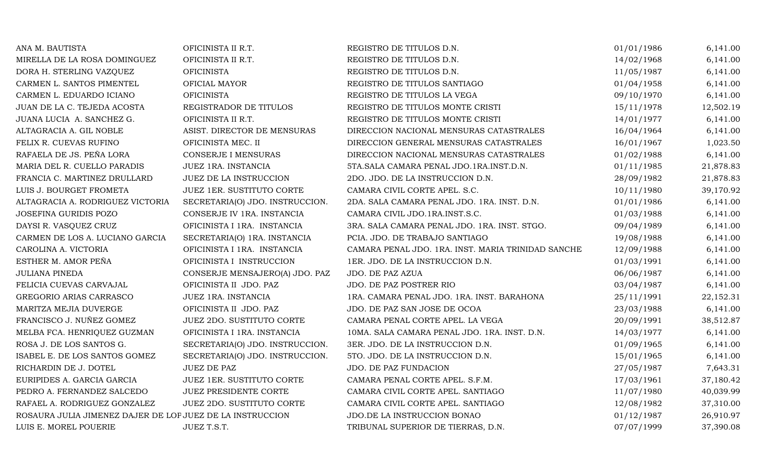| ANA M. BAUTISTA                                           | OFICINISTA II R.T.              | REGISTRO DE TITULOS D.N.                           | 01/01/1986 | 6,141.00  |
|-----------------------------------------------------------|---------------------------------|----------------------------------------------------|------------|-----------|
| MIRELLA DE LA ROSA DOMINGUEZ                              | OFICINISTA II R.T.              | REGISTRO DE TITULOS D.N.                           | 14/02/1968 | 6,141.00  |
| DORA H. STERLING VAZQUEZ                                  | <b>OFICINISTA</b>               | REGISTRO DE TITULOS D.N.                           | 11/05/1987 | 6,141.00  |
| CARMEN L. SANTOS PIMENTEL                                 | OFICIAL MAYOR                   | REGISTRO DE TITULOS SANTIAGO                       | 01/04/1958 | 6,141.00  |
| CARMEN L. EDUARDO ICIANO                                  | <b>OFICINISTA</b>               | REGISTRO DE TITULOS LA VEGA                        | 09/10/1970 | 6,141.00  |
| JUAN DE LA C. TEJEDA ACOSTA                               | REGISTRADOR DE TITULOS          | REGISTRO DE TITULOS MONTE CRISTI                   | 15/11/1978 | 12,502.19 |
| JUANA LUCIA A. SANCHEZ G.                                 | OFICINISTA II R.T.              | REGISTRO DE TITULOS MONTE CRISTI                   | 14/01/1977 | 6,141.00  |
| ALTAGRACIA A. GIL NOBLE                                   | ASIST. DIRECTOR DE MENSURAS     | DIRECCION NACIONAL MENSURAS CATASTRALES            | 16/04/1964 | 6,141.00  |
| FELIX R. CUEVAS RUFINO                                    | OFICINISTA MEC. II              | DIRECCION GENERAL MENSURAS CATASTRALES             | 16/01/1967 | 1,023.50  |
| RAFAELA DE JS. PEÑA LORA                                  | CONSERJE I MENSURAS             | DIRECCION NACIONAL MENSURAS CATASTRALES            | 01/02/1988 | 6,141.00  |
| MARIA DEL R. CUELLO PARADIS                               | JUEZ 1RA. INSTANCIA             | 5TA. SALA CAMARA PENAL JDO. 1RA. INST.D.N.         | 01/11/1985 | 21,878.83 |
| FRANCIA C. MARTINEZ DRULLARD                              | JUEZ DE LA INSTRUCCION          | 2DO. JDO. DE LA INSTRUCCION D.N.                   | 28/09/1982 | 21,878.83 |
| LUIS J. BOURGET FROMETA                                   | JUEZ 1ER. SUSTITUTO CORTE       | CAMARA CIVIL CORTE APEL. S.C.                      | 10/11/1980 | 39,170.92 |
| ALTAGRACIA A. RODRIGUEZ VICTORIA                          | SECRETARIA(O) JDO. INSTRUCCION. | 2DA. SALA CAMARA PENAL JDO. 1RA. INST. D.N.        | 01/01/1986 | 6,141.00  |
| JOSEFINA GURIDIS POZO                                     | CONSERJE IV 1RA. INSTANCIA      | CAMARA CIVIL JDO.1RA.INST.S.C.                     | 01/03/1988 | 6,141.00  |
| DAYSI R. VASQUEZ CRUZ                                     | OFICINISTA I 1RA. INSTANCIA     | 3RA. SALA CAMARA PENAL JDO. 1RA. INST. STGO.       | 09/04/1989 | 6,141.00  |
| CARMEN DE LOS A. LUCIANO GARCIA                           | SECRETARIA(O) 1RA. INSTANCIA    | PCIA. JDO. DE TRABAJO SANTIAGO                     | 19/08/1988 | 6,141.00  |
| CAROLINA A. VICTORIA                                      | OFICINISTA I 1RA. INSTANCIA     | CAMARA PENAL JDO. 1RA. INST. MARIA TRINIDAD SANCHE | 12/09/1988 | 6,141.00  |
| ESTHER M. AMOR PEÑA                                       | OFICINISTA I INSTRUCCION        | 1ER. JDO. DE LA INSTRUCCION D.N.                   | 01/03/1991 | 6,141.00  |
| <b>JULIANA PINEDA</b>                                     | CONSERJE MENSAJERO(A) JDO. PAZ  | JDO. DE PAZ AZUA                                   | 06/06/1987 | 6,141.00  |
| FELICIA CUEVAS CARVAJAL                                   | OFICINISTA II JDO. PAZ          | JDO. DE PAZ POSTRER RIO                            | 03/04/1987 | 6,141.00  |
| GREGORIO ARIAS CARRASCO                                   | JUEZ 1RA. INSTANCIA             | 1RA. CAMARA PENAL JDO. 1RA. INST. BARAHONA         | 25/11/1991 | 22,152.31 |
| MARITZA MEJIA DUVERGE                                     | OFICINISTA II JDO. PAZ          | JDO. DE PAZ SAN JOSE DE OCOA                       | 23/03/1988 | 6,141.00  |
| FRANCISCO J. NUÑEZ GOMEZ                                  | JUEZ 2DO. SUSTITUTO CORTE       | CAMARA PENAL CORTE APEL. LA VEGA                   | 20/09/1991 | 38,512.87 |
| MELBA FCA. HENRIQUEZ GUZMAN                               | OFICINISTA I 1RA. INSTANCIA     | 10MA. SALA CAMARA PENAL JDO. 1RA. INST. D.N.       | 14/03/1977 | 6,141.00  |
| ROSA J. DE LOS SANTOS G.                                  | SECRETARIA(O) JDO. INSTRUCCION. | 3ER. JDO. DE LA INSTRUCCION D.N.                   | 01/09/1965 | 6,141.00  |
| ISABEL E. DE LOS SANTOS GOMEZ                             | SECRETARIA(O) JDO. INSTRUCCION. | 5TO. JDO. DE LA INSTRUCCION D.N.                   | 15/01/1965 | 6,141.00  |
| RICHARDIN DE J. DOTEL                                     | <b>JUEZ DE PAZ</b>              | JDO. DE PAZ FUNDACION                              | 27/05/1987 | 7,643.31  |
| EURIPIDES A. GARCIA GARCIA                                | JUEZ 1ER. SUSTITUTO CORTE       | CAMARA PENAL CORTE APEL. S.F.M.                    | 17/03/1961 | 37,180.42 |
| PEDRO A. FERNANDEZ SALCEDO                                | JUEZ PRESIDENTE CORTE           | CAMARA CIVIL CORTE APEL. SANTIAGO                  | 11/07/1980 | 40,039.99 |
| RAFAEL A. RODRIGUEZ GONZALEZ                              | JUEZ 2DO. SUSTITUTO CORTE       | CAMARA CIVIL CORTE APEL. SANTIAGO                  | 12/08/1982 | 37,310.00 |
| ROSAURA JULIA JIMENEZ DAJER DE LOP JUEZ DE LA INSTRUCCION |                                 | JDO.DE LA INSTRUCCION BONAO                        | 01/12/1987 | 26,910.97 |
| LUIS E. MOREL POUERIE                                     | JUEZ T.S.T.                     | TRIBUNAL SUPERIOR DE TIERRAS, D.N.                 | 07/07/1999 | 37,390.08 |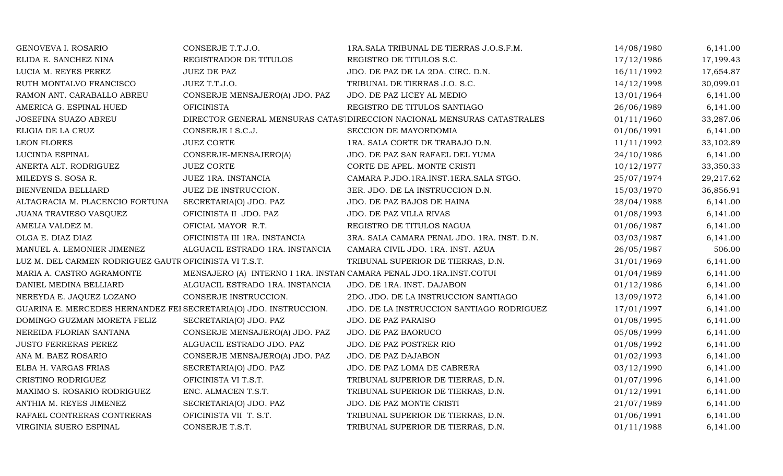| GENOVEVA I. ROSARIO                                               | CONSERJE T.T.J.O.                                                   | 1RA. SALA TRIBUNAL DE TIERRAS J.O.S.F.M.                                 | 14/08/1980 | 6,141.00  |
|-------------------------------------------------------------------|---------------------------------------------------------------------|--------------------------------------------------------------------------|------------|-----------|
| ELIDA E. SANCHEZ NINA                                             | REGISTRADOR DE TITULOS                                              | REGISTRO DE TITULOS S.C.                                                 | 17/12/1986 | 17,199.43 |
| LUCIA M. REYES PEREZ                                              | <b>JUEZ DE PAZ</b>                                                  | JDO. DE PAZ DE LA 2DA. CIRC. D.N.                                        | 16/11/1992 | 17,654.87 |
| RUTH MONTALVO FRANCISCO                                           | JUEZ T.T.J.O.                                                       | TRIBUNAL DE TIERRAS J.O. S.C.                                            | 14/12/1998 | 30,099.01 |
| RAMON ANT. CARABALLO ABREU                                        | CONSERJE MENSAJERO(A) JDO. PAZ                                      | JDO. DE PAZ LICEY AL MEDIO                                               | 13/01/1964 | 6,141.00  |
| AMERICA G. ESPINAL HUED                                           | <b>OFICINISTA</b>                                                   | REGISTRO DE TITULOS SANTIAGO                                             | 26/06/1989 | 6,141.00  |
| JOSEFINA SUAZO ABREU                                              |                                                                     | DIRECTOR GENERAL MENSURAS CATAS' DIRECCION NACIONAL MENSURAS CATASTRALES | 01/11/1960 | 33,287.06 |
| ELIGIA DE LA CRUZ                                                 | CONSERJE I S.C.J.                                                   | SECCION DE MAYORDOMIA                                                    | 01/06/1991 | 6,141.00  |
| <b>LEON FLORES</b>                                                | <b>JUEZ CORTE</b>                                                   | 1RA. SALA CORTE DE TRABAJO D.N.                                          | 11/11/1992 | 33,102.89 |
| LUCINDA ESPINAL                                                   | CONSERJE-MENSAJERO(A)                                               | JDO. DE PAZ SAN RAFAEL DEL YUMA                                          | 24/10/1986 | 6,141.00  |
| ANERTA ALT. RODRIGUEZ                                             | <b>JUEZ CORTE</b>                                                   | CORTE DE APEL. MONTE CRISTI                                              | 10/12/1977 | 33,350.33 |
| MILEDYS S. SOSA R.                                                | JUEZ 1RA. INSTANCIA                                                 | CAMARA P.JDO.1RA.INST.1ERA.SALA STGO.                                    | 25/07/1974 | 29,217.62 |
| BIENVENIDA BELLIARD                                               | JUEZ DE INSTRUCCION.                                                | 3ER. JDO. DE LA INSTRUCCION D.N.                                         | 15/03/1970 | 36,856.91 |
| ALTAGRACIA M. PLACENCIO FORTUNA                                   | SECRETARIA(O) JDO. PAZ                                              | JDO. DE PAZ BAJOS DE HAINA                                               | 28/04/1988 | 6,141.00  |
| JUANA TRAVIESO VASQUEZ                                            | OFICINISTA II JDO. PAZ                                              | JDO. DE PAZ VILLA RIVAS                                                  | 01/08/1993 | 6,141.00  |
| AMELIA VALDEZ M.                                                  | OFICIAL MAYOR R.T.                                                  | REGISTRO DE TITULOS NAGUA                                                | 01/06/1987 | 6,141.00  |
| OLGA E. DIAZ DIAZ                                                 | OFICINISTA III 1RA. INSTANCIA                                       | 3RA. SALA CAMARA PENAL JDO. 1RA. INST. D.N.                              | 03/03/1987 | 6,141.00  |
| MANUEL A. LEMONIER JIMENEZ                                        | ALGUACIL ESTRADO 1RA. INSTANCIA                                     | CAMARA CIVIL JDO. 1RA. INST. AZUA                                        | 26/05/1987 | 506.00    |
| LUZ M. DEL CARMEN RODRIGUEZ GAUTROFICINISTA VI T.S.T.             |                                                                     | TRIBUNAL SUPERIOR DE TIERRAS, D.N.                                       | 31/01/1969 | 6,141.00  |
| MARIA A. CASTRO AGRAMONTE                                         | MENSAJERO (A) INTERNO I 1RA. INSTAN CAMARA PENAL JDO.1RA.INST.COTUI |                                                                          | 01/04/1989 | 6,141.00  |
| DANIEL MEDINA BELLIARD                                            | ALGUACIL ESTRADO 1RA. INSTANCIA                                     | JDO. DE 1RA. INST. DAJABON                                               | 01/12/1986 | 6,141.00  |
| NEREYDA E. JAQUEZ LOZANO                                          | CONSERJE INSTRUCCION.                                               | 2DO. JDO. DE LA INSTRUCCION SANTIAGO                                     | 13/09/1972 | 6,141.00  |
| GUARINA E. MERCEDES HERNANDEZ FEI SECRETARIA(O) JDO. INSTRUCCION. |                                                                     | JDO. DE LA INSTRUCCION SANTIAGO RODRIGUEZ                                | 17/01/1997 | 6,141.00  |
| DOMINGO GUZMAN MORETA FELIZ                                       | SECRETARIA(O) JDO. PAZ                                              | <b>JDO. DE PAZ PARAISO</b>                                               | 01/08/1995 | 6,141.00  |
| NEREIDA FLORIAN SANTANA                                           | CONSERJE MENSAJERO(A) JDO. PAZ                                      | JDO. DE PAZ BAORUCO                                                      | 05/08/1999 | 6,141.00  |
| <b>JUSTO FERRERAS PEREZ</b>                                       | ALGUACIL ESTRADO JDO. PAZ                                           | JDO. DE PAZ POSTRER RIO                                                  | 01/08/1992 | 6,141.00  |
| ANA M. BAEZ ROSARIO                                               | CONSERJE MENSAJERO(A) JDO. PAZ                                      | JDO. DE PAZ DAJABON                                                      | 01/02/1993 | 6,141.00  |
| ELBA H. VARGAS FRIAS                                              | SECRETARIA(O) JDO. PAZ                                              | JDO. DE PAZ LOMA DE CABRERA                                              | 03/12/1990 | 6,141.00  |
| CRISTINO RODRIGUEZ                                                | OFICINISTA VI T.S.T.                                                | TRIBUNAL SUPERIOR DE TIERRAS, D.N.                                       | 01/07/1996 | 6,141.00  |
| MAXIMO S. ROSARIO RODRIGUEZ                                       | ENC. ALMACEN T.S.T.                                                 | TRIBUNAL SUPERIOR DE TIERRAS, D.N.                                       | 01/12/1991 | 6,141.00  |
| ANTHIA M. REYES JIMENEZ                                           | SECRETARIA(O) JDO. PAZ                                              | JDO. DE PAZ MONTE CRISTI                                                 | 21/07/1989 | 6,141.00  |
| RAFAEL CONTRERAS CONTRERAS                                        | OFICINISTA VII T. S.T.                                              | TRIBUNAL SUPERIOR DE TIERRAS, D.N.                                       | 01/06/1991 | 6,141.00  |
| VIRGINIA SUERO ESPINAL                                            | CONSERJE T.S.T.                                                     | TRIBUNAL SUPERIOR DE TIERRAS, D.N.                                       | 01/11/1988 | 6,141.00  |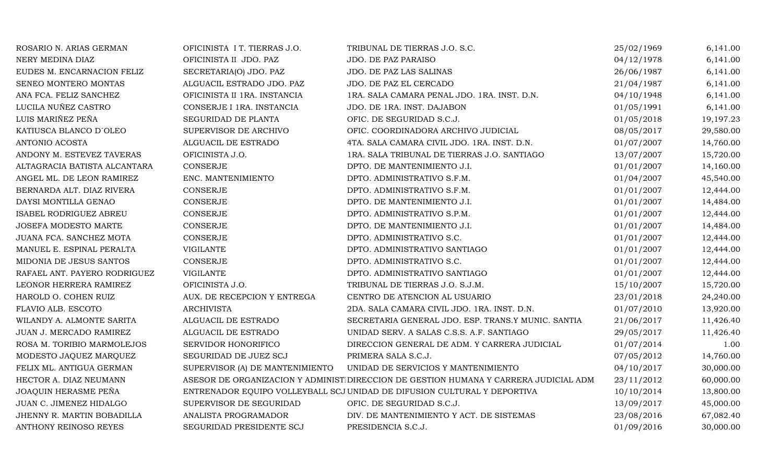| ROSARIO N. ARIAS GERMAN      | OFICINISTA I T. TIERRAS J.O.    | TRIBUNAL DE TIERRAS J.O. S.C.                                                        | 25/02/1969 | 6,141.00  |
|------------------------------|---------------------------------|--------------------------------------------------------------------------------------|------------|-----------|
| NERY MEDINA DIAZ             | OFICINISTA II JDO. PAZ          | JDO. DE PAZ PARAISO                                                                  | 04/12/1978 | 6,141.00  |
| EUDES M. ENCARNACION FELIZ   | SECRETARIA(O) JDO. PAZ          | JDO. DE PAZ LAS SALINAS                                                              | 26/06/1987 | 6,141.00  |
| SENEO MONTERO MONTAS         | ALGUACIL ESTRADO JDO. PAZ       | JDO. DE PAZ EL CERCADO                                                               | 21/04/1987 | 6,141.00  |
| ANA FCA. FELIZ SANCHEZ       | OFICINISTA II 1RA. INSTANCIA    | 1RA. SALA CAMARA PENAL JDO. 1RA. INST. D.N.                                          | 04/10/1948 | 6,141.00  |
| LUCILA NUÑEZ CASTRO          | CONSERJE I 1RA. INSTANCIA       | JDO. DE 1RA. INST. DAJABON                                                           | 01/05/1991 | 6,141.00  |
| LUIS MARIÑEZ PEÑA            | SEGURIDAD DE PLANTA             | OFIC. DE SEGURIDAD S.C.J.                                                            | 01/05/2018 | 19,197.23 |
| KATIUSCA BLANCO D'OLEO       | SUPERVISOR DE ARCHIVO           | OFIC. COORDINADORA ARCHIVO JUDICIAL                                                  | 08/05/2017 | 29,580.00 |
| ANTONIO ACOSTA               | ALGUACIL DE ESTRADO             | 4TA. SALA CAMARA CIVIL JDO. 1RA. INST. D.N.                                          | 01/07/2007 | 14,760.00 |
| ANDONY M. ESTEVEZ TAVERAS    | OFICINISTA J.O.                 | 1RA. SALA TRIBUNAL DE TIERRAS J.O. SANTIAGO                                          | 13/07/2007 | 15,720.00 |
| ALTAGRACIA BATISTA ALCANTARA | <b>CONSERJE</b>                 | DPTO. DE MANTENIMIENTO J.I.                                                          | 01/01/2007 | 14,160.00 |
| ANGEL ML. DE LEON RAMIREZ    | ENC. MANTENIMIENTO              | DPTO. ADMINISTRATIVO S.F.M.                                                          | 01/04/2007 | 45,540.00 |
| BERNARDA ALT. DIAZ RIVERA    | <b>CONSERJE</b>                 | DPTO. ADMINISTRATIVO S.F.M.                                                          | 01/01/2007 | 12,444.00 |
| DAYSI MONTILLA GENAO         | CONSERJE                        | DPTO. DE MANTENIMIENTO J.I.                                                          | 01/01/2007 | 14,484.00 |
| ISABEL RODRIGUEZ ABREU       | <b>CONSERJE</b>                 | DPTO. ADMINISTRATIVO S.P.M.                                                          | 01/01/2007 | 12,444.00 |
| JOSEFA MODESTO MARTE         | CONSERJE                        | DPTO. DE MANTENIMIENTO J.I.                                                          | 01/01/2007 | 14,484.00 |
| JUANA FCA. SANCHEZ MOTA      | <b>CONSERJE</b>                 | DPTO. ADMINISTRATIVO S.C.                                                            | 01/01/2007 | 12,444.00 |
| MANUEL E. ESPINAL PERALTA    | VIGILANTE                       | DPTO. ADMINISTRATIVO SANTIAGO                                                        | 01/01/2007 | 12,444.00 |
| MIDONIA DE JESUS SANTOS      | <b>CONSERJE</b>                 | DPTO. ADMINISTRATIVO S.C.                                                            | 01/01/2007 | 12,444.00 |
| RAFAEL ANT. PAYERO RODRIGUEZ | <b>VIGILANTE</b>                | DPTO. ADMINISTRATIVO SANTIAGO                                                        | 01/01/2007 | 12,444.00 |
| LEONOR HERRERA RAMIREZ       | OFICINISTA J.O.                 | TRIBUNAL DE TIERRAS J.O. S.J.M.                                                      | 15/10/2007 | 15,720.00 |
| HAROLD O. COHEN RUIZ         | AUX. DE RECEPCION Y ENTREGA     | CENTRO DE ATENCION AL USUARIO                                                        | 23/01/2018 | 24,240.00 |
| FLAVIO ALB. ESCOTO           | <b>ARCHIVISTA</b>               | 2DA. SALA CAMARA CIVIL JDO. 1RA. INST. D.N.                                          | 01/07/2010 | 13,920.00 |
| WILANDY A. ALMONTE SARITA    | ALGUACIL DE ESTRADO             | SECRETARIA GENERAL JDO. ESP. TRANS.Y MUNIC. SANTIA                                   | 21/06/2017 | 11,426.40 |
| JUAN J. MERCADO RAMIREZ      | ALGUACIL DE ESTRADO             | UNIDAD SERV. A SALAS C.S.S. A.F. SANTIAGO                                            | 29/05/2017 | 11,426.40 |
| ROSA M. TORIBIO MARMOLEJOS   | SERVIDOR HONORIFICO             | DIRECCION GENERAL DE ADM. Y CARRERA JUDICIAL                                         | 01/07/2014 | 1.00      |
| MODESTO JAQUEZ MARQUEZ       | SEGURIDAD DE JUEZ SCJ           | PRIMERA SALA S.C.J.                                                                  | 07/05/2012 | 14,760.00 |
| FELIX ML. ANTIGUA GERMAN     | SUPERVISOR (A) DE MANTENIMIENTO | UNIDAD DE SERVICIOS Y MANTENIMIENTO                                                  | 04/10/2017 | 30,000.00 |
| HECTOR A. DIAZ NEUMANN       |                                 | ASESOR DE ORGANIZACION Y ADMINIST DIRECCION DE GESTION HUMANA Y CARRERA JUDICIAL ADM | 23/11/2012 | 60,000.00 |
| JOAQUIN HERASME PEÑA         |                                 | ENTRENADOR EQUIPO VOLLEYBALL SCJ UNIDAD DE DIFUSION CULTURAL Y DEPORTIVA             | 10/10/2014 | 13,800.00 |
| JUAN C. JIMENEZ HIDALGO      | SUPERVISOR DE SEGURIDAD         | OFIC. DE SEGURIDAD S.C.J.                                                            | 13/09/2017 | 45,000.00 |
| JHENNY R. MARTIN BOBADILLA   | ANALISTA PROGRAMADOR            | DIV. DE MANTENIMIENTO Y ACT. DE SISTEMAS                                             | 23/08/2016 | 67,082.40 |
| ANTHONY REINOSO REYES        | SEGURIDAD PRESIDENTE SCJ        | PRESIDENCIA S.C.J.                                                                   | 01/09/2016 | 30,000.00 |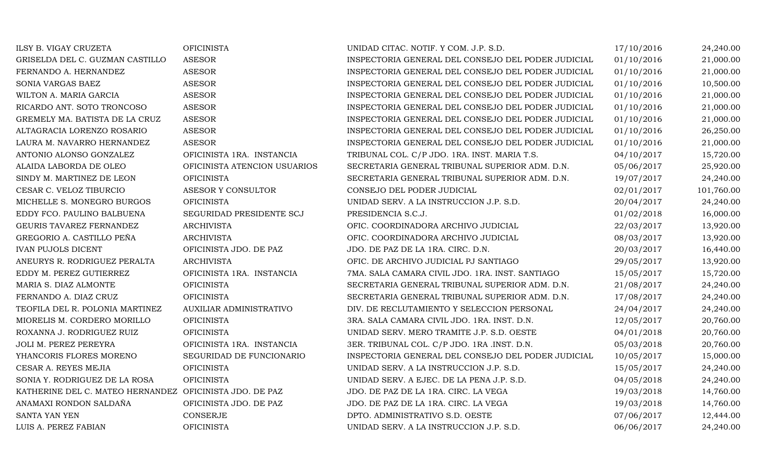| ILSY B. VIGAY CRUZETA                                   | <b>OFICINISTA</b>              | UNIDAD CITAC. NOTIF. Y COM. J.P. S.D.              | 17/10/2016 | 24,240.00  |
|---------------------------------------------------------|--------------------------------|----------------------------------------------------|------------|------------|
| GRISELDA DEL C. GUZMAN CASTILLO                         | <b>ASESOR</b>                  | INSPECTORIA GENERAL DEL CONSEJO DEL PODER JUDICIAL | 01/10/2016 | 21,000.00  |
| FERNANDO A. HERNANDEZ                                   | <b>ASESOR</b>                  | INSPECTORIA GENERAL DEL CONSEJO DEL PODER JUDICIAL | 01/10/2016 | 21,000.00  |
| SONIA VARGAS BAEZ                                       | <b>ASESOR</b>                  | INSPECTORIA GENERAL DEL CONSEJO DEL PODER JUDICIAL | 01/10/2016 | 10,500.00  |
| WILTON A. MARIA GARCIA                                  | <b>ASESOR</b>                  | INSPECTORIA GENERAL DEL CONSEJO DEL PODER JUDICIAL | 01/10/2016 | 21,000.00  |
| RICARDO ANT. SOTO TRONCOSO                              | <b>ASESOR</b>                  | INSPECTORIA GENERAL DEL CONSEJO DEL PODER JUDICIAL | 01/10/2016 | 21,000.00  |
| GREMELY MA. BATISTA DE LA CRUZ                          | <b>ASESOR</b>                  | INSPECTORIA GENERAL DEL CONSEJO DEL PODER JUDICIAL | 01/10/2016 | 21,000.00  |
| ALTAGRACIA LORENZO ROSARIO                              | <b>ASESOR</b>                  | INSPECTORIA GENERAL DEL CONSEJO DEL PODER JUDICIAL | 01/10/2016 | 26,250.00  |
| LAURA M. NAVARRO HERNANDEZ                              | <b>ASESOR</b>                  | INSPECTORIA GENERAL DEL CONSEJO DEL PODER JUDICIAL | 01/10/2016 | 21,000.00  |
| ANTONIO ALONSO GONZALEZ                                 | OFICINISTA 1RA. INSTANCIA      | TRIBUNAL COL. C/P JDO. 1RA. INST. MARIA T.S.       | 04/10/2017 | 15,720.00  |
| ALAIDA LABORDA DE OLEO                                  | OFICINISTA ATENCION USUARIOS   | SECRETARIA GENERAL TRIBUNAL SUPERIOR ADM. D.N.     | 05/06/2017 | 25,920.00  |
| SINDY M. MARTINEZ DE LEON                               | <b>OFICINISTA</b>              | SECRETARIA GENERAL TRIBUNAL SUPERIOR ADM. D.N.     | 19/07/2017 | 24,240.00  |
| CESAR C. VELOZ TIBURCIO                                 | ASESOR Y CONSULTOR             | CONSEJO DEL PODER JUDICIAL                         | 02/01/2017 | 101,760.00 |
| MICHELLE S. MONEGRO BURGOS                              | <b>OFICINISTA</b>              | UNIDAD SERV. A LA INSTRUCCION J.P. S.D.            | 20/04/2017 | 24,240.00  |
| EDDY FCO. PAULINO BALBUENA                              | SEGURIDAD PRESIDENTE SCJ       | PRESIDENCIA S.C.J.                                 | 01/02/2018 | 16,000.00  |
| GEURIS TAVAREZ FERNANDEZ                                | <b>ARCHIVISTA</b>              | OFIC. COORDINADORA ARCHIVO JUDICIAL                | 22/03/2017 | 13,920.00  |
| GREGORIO A. CASTILLO PEÑA                               | <b>ARCHIVISTA</b>              | OFIC. COORDINADORA ARCHIVO JUDICIAL                | 08/03/2017 | 13,920.00  |
| <b>IVAN PUJOLS DICENT</b>                               | OFICINISTA JDO. DE PAZ         | JDO. DE PAZ DE LA 1RA. CIRC. D.N.                  | 20/03/2017 | 16,440.00  |
| ANEURYS R. RODRIGUEZ PERALTA                            | <b>ARCHIVISTA</b>              | OFIC. DE ARCHIVO JUDICIAL PJ SANTIAGO              | 29/05/2017 | 13,920.00  |
| EDDY M. PEREZ GUTIERREZ                                 | OFICINISTA 1RA. INSTANCIA      | 7MA. SALA CAMARA CIVIL JDO. 1RA. INST. SANTIAGO    | 15/05/2017 | 15,720.00  |
| MARIA S. DIAZ ALMONTE                                   | <b>OFICINISTA</b>              | SECRETARIA GENERAL TRIBUNAL SUPERIOR ADM. D.N.     | 21/08/2017 | 24,240.00  |
| FERNANDO A. DIAZ CRUZ                                   | <b>OFICINISTA</b>              | SECRETARIA GENERAL TRIBUNAL SUPERIOR ADM. D.N.     | 17/08/2017 | 24,240.00  |
| TEOFILA DEL R. POLONIA MARTINEZ                         | <b>AUXILIAR ADMINISTRATIVO</b> | DIV. DE RECLUTAMIENTO Y SELECCION PERSONAL         | 24/04/2017 | 24,240.00  |
| MIORELIS M. CORDERO MORILLO                             | <b>OFICINISTA</b>              | 3RA. SALA CAMARA CIVIL JDO. 1RA. INST. D.N.        | 12/05/2017 | 20,760.00  |
| ROXANNA J. RODRIGUEZ RUIZ                               | <b>OFICINISTA</b>              | UNIDAD SERV. MERO TRAMITE J.P. S.D. OESTE          | 04/01/2018 | 20,760.00  |
| JOLI M. PEREZ PEREYRA                                   | OFICINISTA 1RA. INSTANCIA      | 3ER. TRIBUNAL COL. C/P JDO. 1RA .INST. D.N.        | 05/03/2018 | 20,760.00  |
| YHANCORIS FLORES MORENO                                 | SEGURIDAD DE FUNCIONARIO       | INSPECTORIA GENERAL DEL CONSEJO DEL PODER JUDICIAL | 10/05/2017 | 15,000.00  |
| CESAR A. REYES MEJIA                                    | <b>OFICINISTA</b>              | UNIDAD SERV. A LA INSTRUCCION J.P. S.D.            | 15/05/2017 | 24,240.00  |
| SONIA Y. RODRIGUEZ DE LA ROSA                           | <b>OFICINISTA</b>              | UNIDAD SERV. A EJEC. DE LA PENA J.P. S.D.          | 04/05/2018 | 24,240.00  |
| KATHERINE DEL C. MATEO HERNANDEZ OFICINISTA JDO. DE PAZ |                                | JDO. DE PAZ DE LA 1RA. CIRC. LA VEGA               | 19/03/2018 | 14,760.00  |
| ANAMAXI RONDON SALDAÑA                                  | OFICINISTA JDO. DE PAZ         | JDO. DE PAZ DE LA 1RA. CIRC. LA VEGA               | 19/03/2018 | 14,760.00  |
| SANTA YAN YEN                                           | <b>CONSERJE</b>                | DPTO. ADMINISTRATIVO S.D. OESTE                    | 07/06/2017 | 12,444.00  |
| LUIS A. PEREZ FABIAN                                    | <b>OFICINISTA</b>              | UNIDAD SERV. A LA INSTRUCCION J.P. S.D.            | 06/06/2017 | 24,240.00  |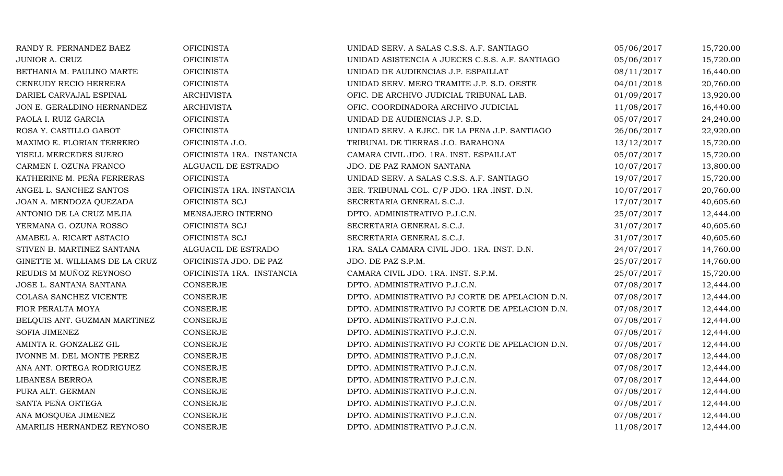| RANDY R. FERNANDEZ BAEZ        | <b>OFICINISTA</b>         | UNIDAD SERV. A SALAS C.S.S. A.F. SANTIAGO       | 05/06/2017 | 15,720.00 |
|--------------------------------|---------------------------|-------------------------------------------------|------------|-----------|
| JUNIOR A. CRUZ                 | <b>OFICINISTA</b>         | UNIDAD ASISTENCIA A JUECES C.S.S. A.F. SANTIAGO | 05/06/2017 | 15,720.00 |
| BETHANIA M. PAULINO MARTE      | <b>OFICINISTA</b>         | UNIDAD DE AUDIENCIAS J.P. ESPAILLAT             | 08/11/2017 | 16,440.00 |
| CENEUDY RECIO HERRERA          | <b>OFICINISTA</b>         | UNIDAD SERV. MERO TRAMITE J.P. S.D. OESTE       | 04/01/2018 | 20,760.00 |
| DARIEL CARVAJAL ESPINAL        | <b>ARCHIVISTA</b>         | OFIC. DE ARCHIVO JUDICIAL TRIBUNAL LAB.         | 01/09/2017 | 13,920.00 |
| JON E. GERALDINO HERNANDEZ     | <b>ARCHIVISTA</b>         | OFIC. COORDINADORA ARCHIVO JUDICIAL             | 11/08/2017 | 16,440.00 |
| PAOLA I. RUIZ GARCIA           | <b>OFICINISTA</b>         | UNIDAD DE AUDIENCIAS J.P. S.D.                  | 05/07/2017 | 24,240.00 |
| ROSA Y. CASTILLO GABOT         | <b>OFICINISTA</b>         | UNIDAD SERV. A EJEC. DE LA PENA J.P. SANTIAGO   | 26/06/2017 | 22,920.00 |
| MAXIMO E. FLORIAN TERRERO      | OFICINISTA J.O.           | TRIBUNAL DE TIERRAS J.O. BARAHONA               | 13/12/2017 | 15,720.00 |
| YISELL MERCEDES SUERO          | OFICINISTA 1RA. INSTANCIA | CAMARA CIVIL JDO. 1RA. INST. ESPAILLAT          | 05/07/2017 | 15,720.00 |
| CARMEN I. OZUNA FRANCO         | ALGUACIL DE ESTRADO       | JDO. DE PAZ RAMON SANTANA                       | 10/07/2017 | 13,800.00 |
| KATHERINE M. PEÑA FERRERAS     | <b>OFICINISTA</b>         | UNIDAD SERV. A SALAS C.S.S. A.F. SANTIAGO       | 19/07/2017 | 15,720.00 |
| ANGEL L. SANCHEZ SANTOS        | OFICINISTA 1RA. INSTANCIA | 3ER. TRIBUNAL COL. C/P JDO. 1RA .INST. D.N.     | 10/07/2017 | 20,760.00 |
| JOAN A. MENDOZA QUEZADA        | OFICINISTA SCJ            | SECRETARIA GENERAL S.C.J.                       | 17/07/2017 | 40,605.60 |
| ANTONIO DE LA CRUZ MEJIA       | MENSAJERO INTERNO         | DPTO. ADMINISTRATIVO P.J.C.N.                   | 25/07/2017 | 12,444.00 |
| YERMANA G. OZUNA ROSSO         | OFICINISTA SCJ            | SECRETARIA GENERAL S.C.J.                       | 31/07/2017 | 40,605.60 |
| AMABEL A. RICART ASTACIO       | OFICINISTA SCJ            | SECRETARIA GENERAL S.C.J.                       | 31/07/2017 | 40,605.60 |
| STIVEN B. MARTINEZ SANTANA     | ALGUACIL DE ESTRADO       | 1RA. SALA CAMARA CIVIL JDO. 1RA. INST. D.N.     | 24/07/2017 | 14,760.00 |
| GINETTE M. WILLIAMS DE LA CRUZ | OFICINISTA JDO. DE PAZ    | JDO. DE PAZ S.P.M.                              | 25/07/2017 | 14,760.00 |
| REUDIS M MUÑOZ REYNOSO         | OFICINISTA 1RA. INSTANCIA | CAMARA CIVIL JDO. 1RA. INST. S.P.M.             | 25/07/2017 | 15,720.00 |
| JOSE L. SANTANA SANTANA        | CONSERJE                  | DPTO. ADMINISTRATIVO P.J.C.N.                   | 07/08/2017 | 12,444.00 |
| COLASA SANCHEZ VICENTE         | <b>CONSERJE</b>           | DPTO. ADMINISTRATIVO PJ CORTE DE APELACION D.N. | 07/08/2017 | 12,444.00 |
| FIOR PERALTA MOYA              | CONSERJE                  | DPTO. ADMINISTRATIVO PJ CORTE DE APELACION D.N. | 07/08/2017 | 12,444.00 |
| BELQUIS ANT. GUZMAN MARTINEZ   | <b>CONSERJE</b>           | DPTO. ADMINISTRATIVO P.J.C.N.                   | 07/08/2017 | 12,444.00 |
| <b>SOFIA JIMENEZ</b>           | <b>CONSERJE</b>           | DPTO. ADMINISTRATIVO P.J.C.N.                   | 07/08/2017 | 12,444.00 |
| AMINTA R. GONZALEZ GIL         | <b>CONSERJE</b>           | DPTO. ADMINISTRATIVO PJ CORTE DE APELACION D.N. | 07/08/2017 | 12,444.00 |
| IVONNE M. DEL MONTE PEREZ      | <b>CONSERJE</b>           | DPTO. ADMINISTRATIVO P.J.C.N.                   | 07/08/2017 | 12,444.00 |
| ANA ANT. ORTEGA RODRIGUEZ      | <b>CONSERJE</b>           | DPTO. ADMINISTRATIVO P.J.C.N.                   | 07/08/2017 | 12,444.00 |
| LIBANESA BERROA                | CONSERJE                  | DPTO. ADMINISTRATIVO P.J.C.N.                   | 07/08/2017 | 12,444.00 |
| PURA ALT. GERMAN               | <b>CONSERJE</b>           | DPTO. ADMINISTRATIVO P.J.C.N.                   | 07/08/2017 | 12,444.00 |
| SANTA PEÑA ORTEGA              | CONSERJE                  | DPTO. ADMINISTRATIVO P.J.C.N.                   | 07/08/2017 | 12,444.00 |
| ANA MOSQUEA JIMENEZ            | <b>CONSERJE</b>           | DPTO. ADMINISTRATIVO P.J.C.N.                   | 07/08/2017 | 12,444.00 |
| AMARILIS HERNANDEZ REYNOSO     | <b>CONSERJE</b>           | DPTO. ADMINISTRATIVO P.J.C.N.                   | 11/08/2017 | 12,444.00 |
|                                |                           |                                                 |            |           |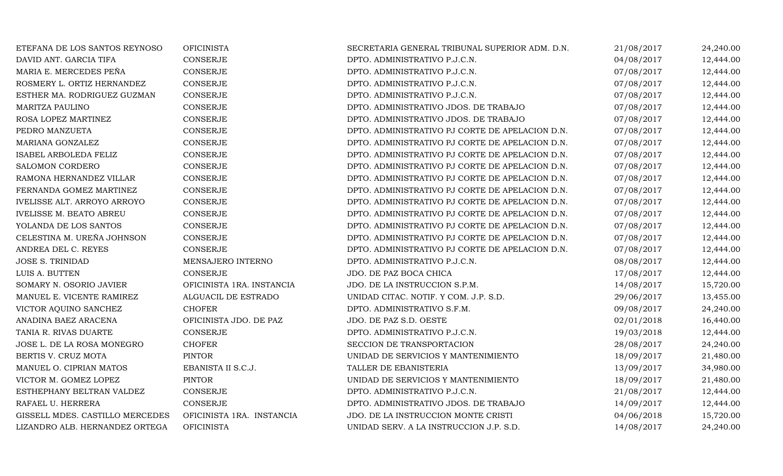| ETEFANA DE LOS SANTOS REYNOSO      | <b>OFICINISTA</b>         | SECRETARIA GENERAL TRIBUNAL SUPERIOR ADM. D.N.  | 21/08/2017 | 24,240.00 |
|------------------------------------|---------------------------|-------------------------------------------------|------------|-----------|
| DAVID ANT. GARCIA TIFA             | <b>CONSERJE</b>           | DPTO. ADMINISTRATIVO P.J.C.N.                   | 04/08/2017 | 12,444.00 |
| MARIA E. MERCEDES PEÑA             | <b>CONSERJE</b>           | DPTO. ADMINISTRATIVO P.J.C.N.                   | 07/08/2017 | 12,444.00 |
| ROSMERY L. ORTIZ HERNANDEZ         | <b>CONSERJE</b>           | DPTO. ADMINISTRATIVO P.J.C.N.                   | 07/08/2017 | 12,444.00 |
| ESTHER MA. RODRIGUEZ GUZMAN        | <b>CONSERJE</b>           | DPTO. ADMINISTRATIVO P.J.C.N.                   | 07/08/2017 | 12,444.00 |
| MARITZA PAULINO                    | <b>CONSERJE</b>           | DPTO. ADMINISTRATIVO JDOS. DE TRABAJO           | 07/08/2017 | 12,444.00 |
| ROSA LOPEZ MARTINEZ                | <b>CONSERJE</b>           | DPTO. ADMINISTRATIVO JDOS. DE TRABAJO           | 07/08/2017 | 12,444.00 |
| PEDRO MANZUETA                     | CONSERJE                  | DPTO. ADMINISTRATIVO PJ CORTE DE APELACION D.N. | 07/08/2017 | 12,444.00 |
| MARIANA GONZALEZ                   | <b>CONSERJE</b>           | DPTO. ADMINISTRATIVO PJ CORTE DE APELACION D.N. | 07/08/2017 | 12,444.00 |
| <b>ISABEL ARBOLEDA FELIZ</b>       | <b>CONSERJE</b>           | DPTO. ADMINISTRATIVO PJ CORTE DE APELACION D.N. | 07/08/2017 | 12,444.00 |
| SALOMON CORDERO                    | <b>CONSERJE</b>           | DPTO. ADMINISTRATIVO PJ CORTE DE APELACION D.N. | 07/08/2017 | 12,444.00 |
| RAMONA HERNANDEZ VILLAR            | CONSERJE                  | DPTO. ADMINISTRATIVO PJ CORTE DE APELACION D.N. | 07/08/2017 | 12,444.00 |
| FERNANDA GOMEZ MARTINEZ            | <b>CONSERJE</b>           | DPTO. ADMINISTRATIVO PJ CORTE DE APELACION D.N. | 07/08/2017 | 12,444.00 |
| <b>IVELISSE ALT. ARROYO ARROYO</b> | <b>CONSERJE</b>           | DPTO. ADMINISTRATIVO PJ CORTE DE APELACION D.N. | 07/08/2017 | 12,444.00 |
| <b>IVELISSE M. BEATO ABREU</b>     | CONSERJE                  | DPTO. ADMINISTRATIVO PJ CORTE DE APELACION D.N. | 07/08/2017 | 12,444.00 |
| YOLANDA DE LOS SANTOS              | CONSERJE                  | DPTO. ADMINISTRATIVO PJ CORTE DE APELACION D.N. | 07/08/2017 | 12,444.00 |
| CELESTINA M. UREÑA JOHNSON         | CONSERJE                  | DPTO. ADMINISTRATIVO PJ CORTE DE APELACION D.N. | 07/08/2017 | 12,444.00 |
| ANDREA DEL C. REYES                | <b>CONSERJE</b>           | DPTO. ADMINISTRATIVO PJ CORTE DE APELACION D.N. | 07/08/2017 | 12,444.00 |
| <b>JOSE S. TRINIDAD</b>            | MENSAJERO INTERNO         | DPTO. ADMINISTRATIVO P.J.C.N.                   | 08/08/2017 | 12,444.00 |
| LUIS A. BUTTEN                     | <b>CONSERJE</b>           | JDO. DE PAZ BOCA CHICA                          | 17/08/2017 | 12,444.00 |
| SOMARY N. OSORIO JAVIER            | OFICINISTA 1RA. INSTANCIA | JDO. DE LA INSTRUCCION S.P.M.                   | 14/08/2017 | 15,720.00 |
| MANUEL E. VICENTE RAMIREZ          | ALGUACIL DE ESTRADO       | UNIDAD CITAC. NOTIF. Y COM. J.P. S.D.           | 29/06/2017 | 13,455.00 |
| VICTOR AQUINO SANCHEZ              | <b>CHOFER</b>             | DPTO. ADMINISTRATIVO S.F.M.                     | 09/08/2017 | 24,240.00 |
| ANADINA BAEZ ARACENA               | OFICINISTA JDO. DE PAZ    | JDO. DE PAZ S.D. OESTE                          | 02/01/2018 | 16,440.00 |
| TANIA R. RIVAS DUARTE              | <b>CONSERJE</b>           | DPTO. ADMINISTRATIVO P.J.C.N.                   | 19/03/2018 | 12,444.00 |
| JOSE L. DE LA ROSA MONEGRO         | <b>CHOFER</b>             | SECCION DE TRANSPORTACION                       | 28/08/2017 | 24,240.00 |
| BERTIS V. CRUZ MOTA                | <b>PINTOR</b>             | UNIDAD DE SERVICIOS Y MANTENIMIENTO             | 18/09/2017 | 21,480.00 |
| MANUEL O. CIPRIAN MATOS            | EBANISTA II S.C.J.        | TALLER DE EBANISTERIA                           | 13/09/2017 | 34,980.00 |
| VICTOR M. GOMEZ LOPEZ              | <b>PINTOR</b>             | UNIDAD DE SERVICIOS Y MANTENIMIENTO             | 18/09/2017 | 21,480.00 |
| ESTHEPHANY BELTRAN VALDEZ          | CONSERJE                  | DPTO. ADMINISTRATIVO P.J.C.N.                   | 21/08/2017 | 12,444.00 |
| RAFAEL U. HERRERA                  | CONSERJE                  | DPTO. ADMINISTRATIVO JDOS. DE TRABAJO           | 14/09/2017 | 12,444.00 |
| GISSELL MDES. CASTILLO MERCEDES    | OFICINISTA 1RA. INSTANCIA | JDO. DE LA INSTRUCCION MONTE CRISTI             | 04/06/2018 | 15,720.00 |
| LIZANDRO ALB. HERNANDEZ ORTEGA     | <b>OFICINISTA</b>         | UNIDAD SERV. A LA INSTRUCCION J.P. S.D.         | 14/08/2017 | 24,240.00 |
|                                    |                           |                                                 |            |           |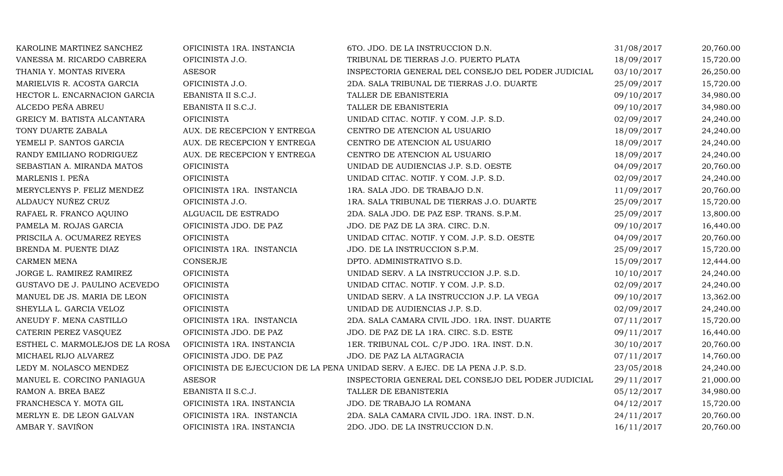| KAROLINE MARTINEZ SANCHEZ       | OFICINISTA 1RA. INSTANCIA   | 6TO. JDO. DE LA INSTRUCCION D.N.                                             | 31/08/2017 | 20,760.00 |
|---------------------------------|-----------------------------|------------------------------------------------------------------------------|------------|-----------|
| VANESSA M. RICARDO CABRERA      | OFICINISTA J.O.             | TRIBUNAL DE TIERRAS J.O. PUERTO PLATA                                        | 18/09/2017 | 15,720.00 |
| THANIA Y. MONTAS RIVERA         | <b>ASESOR</b>               | INSPECTORIA GENERAL DEL CONSEJO DEL PODER JUDICIAL                           | 03/10/2017 | 26,250.00 |
| MARIELVIS R. ACOSTA GARCIA      | OFICINISTA J.O.             | 2DA. SALA TRIBUNAL DE TIERRAS J.O. DUARTE                                    | 25/09/2017 | 15,720.00 |
| HECTOR L. ENCARNACION GARCIA    | EBANISTA II S.C.J.          | TALLER DE EBANISTERIA                                                        | 09/10/2017 | 34,980.00 |
| ALCEDO PEÑA ABREU               | EBANISTA II S.C.J.          | TALLER DE EBANISTERIA                                                        | 09/10/2017 | 34,980.00 |
| GREICY M. BATISTA ALCANTARA     | <b>OFICINISTA</b>           | UNIDAD CITAC. NOTIF. Y COM. J.P. S.D.                                        | 02/09/2017 | 24,240.00 |
| TONY DUARTE ZABALA              | AUX. DE RECEPCION Y ENTREGA | CENTRO DE ATENCION AL USUARIO                                                | 18/09/2017 | 24,240.00 |
| YEMELI P. SANTOS GARCIA         | AUX. DE RECEPCION Y ENTREGA | CENTRO DE ATENCION AL USUARIO                                                | 18/09/2017 | 24,240.00 |
| RANDY EMILIANO RODRIGUEZ        | AUX. DE RECEPCION Y ENTREGA | CENTRO DE ATENCION AL USUARIO                                                | 18/09/2017 | 24,240.00 |
| SEBASTIAN A. MIRANDA MATOS      | <b>OFICINISTA</b>           | UNIDAD DE AUDIENCIAS J.P. S.D. OESTE                                         | 04/09/2017 | 20,760.00 |
| MARLENIS I. PEÑA                | <b>OFICINISTA</b>           | UNIDAD CITAC. NOTIF. Y COM. J.P. S.D.                                        | 02/09/2017 | 24,240.00 |
| MERYCLENYS P. FELIZ MENDEZ      | OFICINISTA 1RA. INSTANCIA   | 1RA. SALA JDO. DE TRABAJO D.N.                                               | 11/09/2017 | 20,760.00 |
| ALDAUCY NUÑEZ CRUZ              | OFICINISTA J.O.             | 1RA. SALA TRIBUNAL DE TIERRAS J.O. DUARTE                                    | 25/09/2017 | 15,720.00 |
| RAFAEL R. FRANCO AQUINO         | ALGUACIL DE ESTRADO         | 2DA. SALA JDO. DE PAZ ESP. TRANS. S.P.M.                                     | 25/09/2017 | 13,800.00 |
| PAMELA M. ROJAS GARCIA          | OFICINISTA JDO. DE PAZ      | JDO. DE PAZ DE LA 3RA. CIRC. D.N.                                            | 09/10/2017 | 16,440.00 |
| PRISCILA A. OCUMAREZ REYES      | <b>OFICINISTA</b>           | UNIDAD CITAC. NOTIF. Y COM. J.P. S.D. OESTE                                  | 04/09/2017 | 20,760.00 |
| BRENDA M. PUENTE DIAZ           | OFICINISTA 1RA. INSTANCIA   | JDO. DE LA INSTRUCCION S.P.M.                                                | 25/09/2017 | 15,720.00 |
| CARMEN MENA                     | CONSERJE                    | DPTO. ADMINISTRATIVO S.D.                                                    | 15/09/2017 | 12,444.00 |
| JORGE L. RAMIREZ RAMIREZ        | <b>OFICINISTA</b>           | UNIDAD SERV. A LA INSTRUCCION J.P. S.D.                                      | 10/10/2017 | 24,240.00 |
| GUSTAVO DE J. PAULINO ACEVEDO   | <b>OFICINISTA</b>           | UNIDAD CITAC. NOTIF. Y COM. J.P. S.D.                                        | 02/09/2017 | 24,240.00 |
| MANUEL DE JS. MARIA DE LEON     | <b>OFICINISTA</b>           | UNIDAD SERV. A LA INSTRUCCION J.P. LA VEGA                                   | 09/10/2017 | 13,362.00 |
| SHEYLLA L. GARCIA VELOZ         | <b>OFICINISTA</b>           | UNIDAD DE AUDIENCIAS J.P. S.D.                                               | 02/09/2017 | 24,240.00 |
| ANEUDY F. MENA CASTILLO         | OFICINISTA 1RA. INSTANCIA   | 2DA. SALA CAMARA CIVIL JDO. 1RA. INST. DUARTE                                | 07/11/2017 | 15,720.00 |
| CATERIN PEREZ VASQUEZ           | OFICINISTA JDO. DE PAZ      | JDO. DE PAZ DE LA 1RA. CIRC. S.D. ESTE                                       | 09/11/2017 | 16,440.00 |
| ESTHEL C. MARMOLEJOS DE LA ROSA | OFICINISTA 1RA. INSTANCIA   | 1ER. TRIBUNAL COL. C/P JDO. 1RA. INST. D.N.                                  | 30/10/2017 | 20,760.00 |
| MICHAEL RIJO ALVAREZ            | OFICINISTA JDO. DE PAZ      | JDO. DE PAZ LA ALTAGRACIA                                                    | 07/11/2017 | 14,760.00 |
| LEDY M. NOLASCO MENDEZ          |                             | OFICINISTA DE EJECUCION DE LA PENA UNIDAD SERV. A EJEC. DE LA PENA J.P. S.D. | 23/05/2018 | 24,240.00 |
| MANUEL E. CORCINO PANIAGUA      | <b>ASESOR</b>               | INSPECTORIA GENERAL DEL CONSEJO DEL PODER JUDICIAL                           | 29/11/2017 | 21,000.00 |
| RAMON A. BREA BAEZ              | EBANISTA II S.C.J.          | TALLER DE EBANISTERIA                                                        | 05/12/2017 | 34,980.00 |
| FRANCHESCA Y. MOTA GIL          | OFICINISTA 1RA. INSTANCIA   | JDO. DE TRABAJO LA ROMANA                                                    | 04/12/2017 | 15,720.00 |
| MERLYN E. DE LEON GALVAN        | OFICINISTA 1RA. INSTANCIA   | 2DA. SALA CAMARA CIVIL JDO. 1RA. INST. D.N.                                  | 24/11/2017 | 20,760.00 |
| AMBAR Y. SAVIÑON                | OFICINISTA 1RA. INSTANCIA   | 2DO. JDO. DE LA INSTRUCCION D.N.                                             | 16/11/2017 | 20,760.00 |
|                                 |                             |                                                                              |            |           |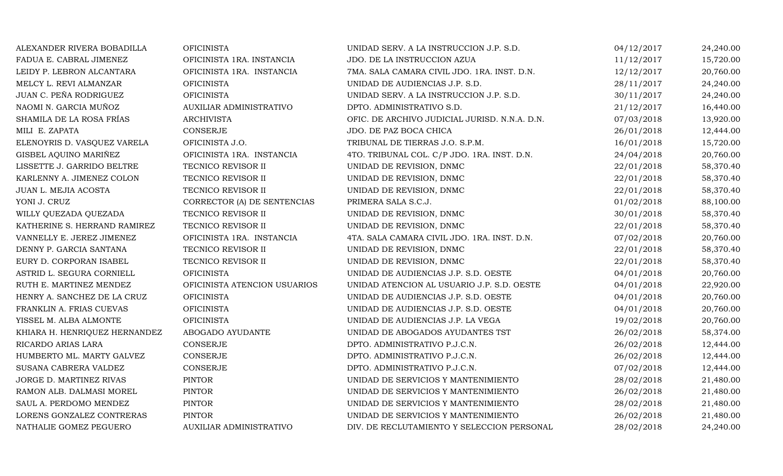| ALEXANDER RIVERA BOBADILLA    | <b>OFICINISTA</b>            | UNIDAD SERV. A LA INSTRUCCION J.P. S.D.       | 04/12/2017 | 24,240.00 |
|-------------------------------|------------------------------|-----------------------------------------------|------------|-----------|
| FADUA E. CABRAL JIMENEZ       | OFICINISTA 1RA. INSTANCIA    | JDO. DE LA INSTRUCCION AZUA                   | 11/12/2017 | 15,720.00 |
| LEIDY P. LEBRON ALCANTARA     | OFICINISTA 1RA. INSTANCIA    | 7MA. SALA CAMARA CIVIL JDO. 1RA. INST. D.N.   | 12/12/2017 | 20,760.00 |
| MELCY L. REVI ALMANZAR        | <b>OFICINISTA</b>            | UNIDAD DE AUDIENCIAS J.P. S.D.                | 28/11/2017 | 24,240.00 |
| JUAN C. PEÑA RODRIGUEZ        | <b>OFICINISTA</b>            | UNIDAD SERV. A LA INSTRUCCION J.P. S.D.       | 30/11/2017 | 24,240.00 |
| NAOMI N. GARCIA MUÑOZ         | AUXILIAR ADMINISTRATIVO      | DPTO. ADMINISTRATIVO S.D.                     | 21/12/2017 | 16,440.00 |
| SHAMILA DE LA ROSA FRÍAS      | <b>ARCHIVISTA</b>            | OFIC. DE ARCHIVO JUDICIAL JURISD. N.N.A. D.N. | 07/03/2018 | 13,920.00 |
| MILI E. ZAPATA                | CONSERJE                     | JDO. DE PAZ BOCA CHICA                        | 26/01/2018 | 12,444.00 |
| ELENOYRIS D. VASQUEZ VARELA   | OFICINISTA J.O.              | TRIBUNAL DE TIERRAS J.O. S.P.M.               | 16/01/2018 | 15,720.00 |
| GISBEL AQUINO MARIÑEZ         | OFICINISTA 1RA. INSTANCIA    | 4TO. TRIBUNAL COL. C/P JDO. 1RA. INST. D.N.   | 24/04/2018 | 20,760.00 |
| LISSETTE J. GARRIDO BELTRE    | TECNICO REVISOR II           | UNIDAD DE REVISION, DNMC                      | 22/01/2018 | 58,370.40 |
| KARLENNY A. JIMENEZ COLON     | TECNICO REVISOR II           | UNIDAD DE REVISION, DNMC                      | 22/01/2018 | 58,370.40 |
| JUAN L. MEJIA ACOSTA          | TECNICO REVISOR II           | UNIDAD DE REVISION, DNMC                      | 22/01/2018 | 58,370.40 |
| YONI J. CRUZ                  | CORRECTOR (A) DE SENTENCIAS  | PRIMERA SALA S.C.J.                           | 01/02/2018 | 88,100.00 |
| WILLY QUEZADA QUEZADA         | TECNICO REVISOR II           | UNIDAD DE REVISION, DNMC                      | 30/01/2018 | 58,370.40 |
| KATHERINE S. HERRAND RAMIREZ  | TECNICO REVISOR II           | UNIDAD DE REVISION, DNMC                      | 22/01/2018 | 58,370.40 |
| VANNELLY E. JEREZ JIMENEZ     | OFICINISTA 1RA. INSTANCIA    | 4TA. SALA CAMARA CIVIL JDO. 1RA. INST. D.N.   | 07/02/2018 | 20,760.00 |
| DENNY P. GARCIA SANTANA       | TECNICO REVISOR II           | UNIDAD DE REVISION, DNMC                      | 22/01/2018 | 58,370.40 |
| EURY D. CORPORAN ISABEL       | TECNICO REVISOR II           | UNIDAD DE REVISION, DNMC                      | 22/01/2018 | 58,370.40 |
| ASTRID L. SEGURA CORNIELL     | <b>OFICINISTA</b>            | UNIDAD DE AUDIENCIAS J.P. S.D. OESTE          | 04/01/2018 | 20,760.00 |
| RUTH E. MARTINEZ MENDEZ       | OFICINISTA ATENCION USUARIOS | UNIDAD ATENCION AL USUARIO J.P. S.D. OESTE    | 04/01/2018 | 22,920.00 |
| HENRY A. SANCHEZ DE LA CRUZ   | <b>OFICINISTA</b>            | UNIDAD DE AUDIENCIAS J.P. S.D. OESTE          | 04/01/2018 | 20,760.00 |
| FRANKLIN A. FRIAS CUEVAS      | <b>OFICINISTA</b>            | UNIDAD DE AUDIENCIAS J.P. S.D. OESTE          | 04/01/2018 | 20,760.00 |
| YISSEL M. ALBA ALMONTE        | <b>OFICINISTA</b>            | UNIDAD DE AUDIENCIAS J.P. LA VEGA             | 19/02/2018 | 20,760.00 |
| KHIARA H. HENRIQUEZ HERNANDEZ | ABOGADO AYUDANTE             | UNIDAD DE ABOGADOS AYUDANTES TST              | 26/02/2018 | 58,374.00 |
| RICARDO ARIAS LARA            | <b>CONSERJE</b>              | DPTO. ADMINISTRATIVO P.J.C.N.                 | 26/02/2018 | 12,444.00 |
| HUMBERTO ML. MARTY GALVEZ     | CONSERJE                     | DPTO. ADMINISTRATIVO P.J.C.N.                 | 26/02/2018 | 12,444.00 |
| SUSANA CABRERA VALDEZ         | <b>CONSERJE</b>              | DPTO. ADMINISTRATIVO P.J.C.N.                 | 07/02/2018 | 12,444.00 |
| JORGE D. MARTINEZ RIVAS       | <b>PINTOR</b>                | UNIDAD DE SERVICIOS Y MANTENIMIENTO           | 28/02/2018 | 21,480.00 |
| RAMON ALB. DALMASI MOREL      | <b>PINTOR</b>                | UNIDAD DE SERVICIOS Y MANTENIMIENTO           | 26/02/2018 | 21,480.00 |
| SAUL A. PERDOMO MENDEZ        | <b>PINTOR</b>                | UNIDAD DE SERVICIOS Y MANTENIMIENTO           | 28/02/2018 | 21,480.00 |
| LORENS GONZALEZ CONTRERAS     | <b>PINTOR</b>                | UNIDAD DE SERVICIOS Y MANTENIMIENTO           | 26/02/2018 | 21,480.00 |
| NATHALIE GOMEZ PEGUERO        | AUXILIAR ADMINISTRATIVO      | DIV. DE RECLUTAMIENTO Y SELECCION PERSONAL    | 28/02/2018 | 24,240.00 |
|                               |                              |                                               |            |           |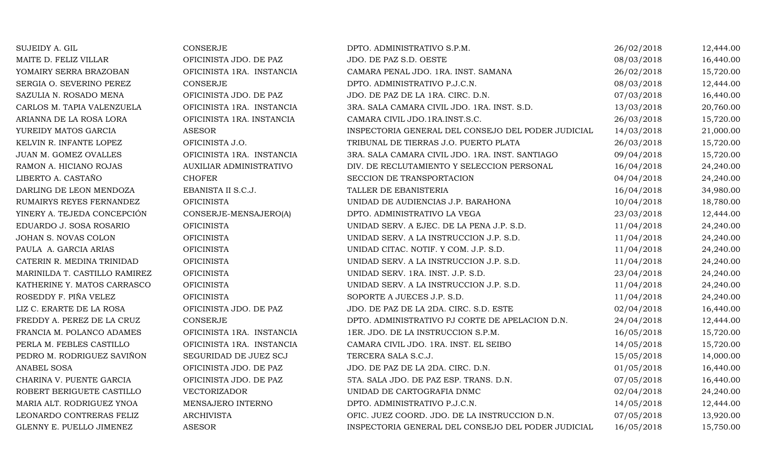| SUJEIDY A. GIL                | <b>CONSERJE</b>                | DPTO. ADMINISTRATIVO S.P.M.                        | 26/02/2018 | 12,444.00 |
|-------------------------------|--------------------------------|----------------------------------------------------|------------|-----------|
| MAITE D. FELIZ VILLAR         | OFICINISTA JDO. DE PAZ         | JDO. DE PAZ S.D. OESTE                             | 08/03/2018 | 16,440.00 |
| YOMAIRY SERRA BRAZOBAN        | OFICINISTA 1RA. INSTANCIA      | CAMARA PENAL JDO. 1RA. INST. SAMANA                | 26/02/2018 | 15,720.00 |
| SERGIA O. SEVERINO PEREZ      | <b>CONSERJE</b>                | DPTO. ADMINISTRATIVO P.J.C.N.                      | 08/03/2018 | 12,444.00 |
| SAZULIA N. ROSADO MENA        | OFICINISTA JDO. DE PAZ         | JDO. DE PAZ DE LA 1RA. CIRC. D.N.                  | 07/03/2018 | 16,440.00 |
| CARLOS M. TAPIA VALENZUELA    | OFICINISTA 1RA. INSTANCIA      | 3RA. SALA CAMARA CIVIL JDO. 1RA. INST. S.D.        | 13/03/2018 | 20,760.00 |
| ARIANNA DE LA ROSA LORA       | OFICINISTA 1RA. INSTANCIA      | CAMARA CIVIL JDO.1RA.INST.S.C.                     | 26/03/2018 | 15,720.00 |
| YUREIDY MATOS GARCIA          | <b>ASESOR</b>                  | INSPECTORIA GENERAL DEL CONSEJO DEL PODER JUDICIAL | 14/03/2018 | 21,000.00 |
| KELVIN R. INFANTE LOPEZ       | OFICINISTA J.O.                | TRIBUNAL DE TIERRAS J.O. PUERTO PLATA              | 26/03/2018 | 15,720.00 |
| JUAN M. GOMEZ OVALLES         | OFICINISTA 1RA. INSTANCIA      | 3RA. SALA CAMARA CIVIL JDO. 1RA. INST. SANTIAGO    | 09/04/2018 | 15,720.00 |
| RAMON A. HICIANO ROJAS        | <b>AUXILIAR ADMINISTRATIVO</b> | DIV. DE RECLUTAMIENTO Y SELECCION PERSONAL         | 16/04/2018 | 24,240.00 |
| LIBERTO A. CASTAÑO            | <b>CHOFER</b>                  | SECCION DE TRANSPORTACION                          | 04/04/2018 | 24,240.00 |
| DARLING DE LEON MENDOZA       | EBANISTA II S.C.J.             | TALLER DE EBANISTERIA                              | 16/04/2018 | 34,980.00 |
| RUMAIRYS REYES FERNANDEZ      | <b>OFICINISTA</b>              | UNIDAD DE AUDIENCIAS J.P. BARAHONA                 | 10/04/2018 | 18,780.00 |
| YINERY A. TEJEDA CONCEPCIÓN   | CONSERJE-MENSAJERO(A)          | DPTO. ADMINISTRATIVO LA VEGA                       | 23/03/2018 | 12,444.00 |
| EDUARDO J. SOSA ROSARIO       | <b>OFICINISTA</b>              | UNIDAD SERV. A EJEC. DE LA PENA J.P. S.D.          | 11/04/2018 | 24,240.00 |
| JOHAN S. NOVAS COLON          | <b>OFICINISTA</b>              | UNIDAD SERV. A LA INSTRUCCION J.P. S.D.            | 11/04/2018 | 24,240.00 |
| PAULA A. GARCIA ARIAS         | <b>OFICINISTA</b>              | UNIDAD CITAC. NOTIF. Y COM. J.P. S.D.              | 11/04/2018 | 24,240.00 |
| CATERIN R. MEDINA TRINIDAD    | <b>OFICINISTA</b>              | UNIDAD SERV. A LA INSTRUCCION J.P. S.D.            | 11/04/2018 | 24,240.00 |
| MARINILDA T. CASTILLO RAMIREZ | <b>OFICINISTA</b>              | UNIDAD SERV. 1RA. INST. J.P. S.D.                  | 23/04/2018 | 24,240.00 |
| KATHERINE Y. MATOS CARRASCO   | <b>OFICINISTA</b>              | UNIDAD SERV. A LA INSTRUCCION J.P. S.D.            | 11/04/2018 | 24,240.00 |
| ROSEDDY F. PIÑA VELEZ         | <b>OFICINISTA</b>              | SOPORTE A JUECES J.P. S.D.                         | 11/04/2018 | 24,240.00 |
| LIZ C. ERARTE DE LA ROSA      | OFICINISTA JDO. DE PAZ         | JDO. DE PAZ DE LA 2DA. CIRC. S.D. ESTE             | 02/04/2018 | 16,440.00 |
| FREDDY A. PEREZ DE LA CRUZ    | <b>CONSERJE</b>                | DPTO. ADMINISTRATIVO PJ CORTE DE APELACION D.N.    | 24/04/2018 | 12,444.00 |
| FRANCIA M. POLANCO ADAMES     | OFICINISTA 1RA. INSTANCIA      | 1ER. JDO. DE LA INSTRUCCION S.P.M.                 | 16/05/2018 | 15,720.00 |
| PERLA M. FEBLES CASTILLO      | OFICINISTA 1RA. INSTANCIA      | CAMARA CIVIL JDO. 1RA. INST. EL SEIBO              | 14/05/2018 | 15,720.00 |
| PEDRO M. RODRIGUEZ SAVIÑON    | SEGURIDAD DE JUEZ SCJ          | TERCERA SALA S.C.J.                                | 15/05/2018 | 14,000.00 |
| ANABEL SOSA                   | OFICINISTA JDO. DE PAZ         | JDO. DE PAZ DE LA 2DA. CIRC. D.N.                  | 01/05/2018 | 16,440.00 |
| CHARINA V. PUENTE GARCIA      | OFICINISTA JDO. DE PAZ         | 5TA. SALA JDO. DE PAZ ESP. TRANS. D.N.             | 07/05/2018 | 16,440.00 |
| ROBERT BERIGUETE CASTILLO     | VECTORIZADOR                   | UNIDAD DE CARTOGRAFIA DNMC                         | 02/04/2018 | 24,240.00 |
| MARIA ALT. RODRIGUEZ YNOA     | MENSAJERO INTERNO              | DPTO. ADMINISTRATIVO P.J.C.N.                      | 14/05/2018 | 12,444.00 |
| LEONARDO CONTRERAS FELIZ      | <b>ARCHIVISTA</b>              | OFIC. JUEZ COORD. JDO. DE LA INSTRUCCION D.N.      | 07/05/2018 | 13,920.00 |
| GLENNY E. PUELLO JIMENEZ      | <b>ASESOR</b>                  | INSPECTORIA GENERAL DEL CONSEJO DEL PODER JUDICIAL | 16/05/2018 | 15,750.00 |
|                               |                                |                                                    |            |           |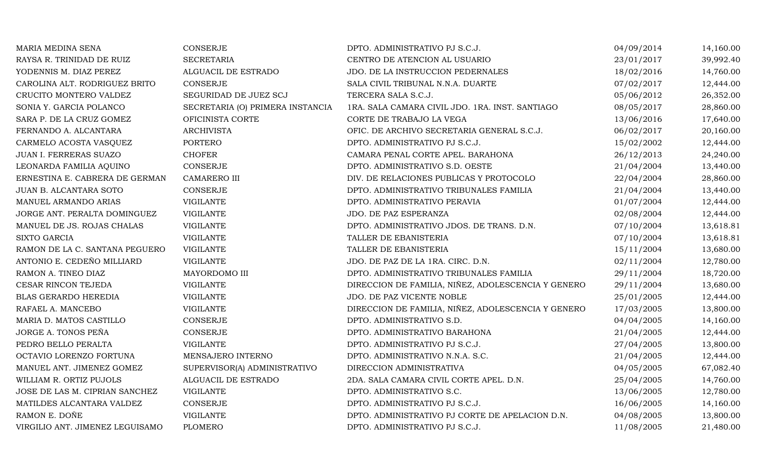| MARIA MEDINA SENA               | CONSERJE                         | DPTO. ADMINISTRATIVO PJ S.C.J.                     | 04/09/2014 | 14,160.00 |
|---------------------------------|----------------------------------|----------------------------------------------------|------------|-----------|
| RAYSA R. TRINIDAD DE RUIZ       | <b>SECRETARIA</b>                | CENTRO DE ATENCION AL USUARIO                      | 23/01/2017 | 39,992.40 |
| YODENNIS M. DIAZ PEREZ          | ALGUACIL DE ESTRADO              | JDO. DE LA INSTRUCCION PEDERNALES                  | 18/02/2016 | 14,760.00 |
| CAROLINA ALT. RODRIGUEZ BRITO   | CONSERJE                         | SALA CIVIL TRIBUNAL N.N.A. DUARTE                  | 07/02/2017 | 12,444.00 |
| CRUCITO MONTERO VALDEZ          | SEGURIDAD DE JUEZ SCJ            | TERCERA SALA S.C.J.                                | 05/06/2012 | 26,352.00 |
| SONIA Y. GARCIA POLANCO         | SECRETARIA (O) PRIMERA INSTANCIA | 1RA. SALA CAMARA CIVIL JDO. 1RA. INST. SANTIAGO    | 08/05/2017 | 28,860.00 |
| SARA P. DE LA CRUZ GOMEZ        | OFICINISTA CORTE                 | CORTE DE TRABAJO LA VEGA                           | 13/06/2016 | 17,640.00 |
| FERNANDO A. ALCANTARA           | <b>ARCHIVISTA</b>                | OFIC. DE ARCHIVO SECRETARIA GENERAL S.C.J.         | 06/02/2017 | 20,160.00 |
| CARMELO ACOSTA VASQUEZ          | <b>PORTERO</b>                   | DPTO. ADMINISTRATIVO PJ S.C.J.                     | 15/02/2002 | 12,444.00 |
| JUAN I. FERRERAS SUAZO          | <b>CHOFER</b>                    | CAMARA PENAL CORTE APEL. BARAHONA                  | 26/12/2013 | 24,240.00 |
| LEONARDA FAMILIA AQUINO         | CONSERJE                         | DPTO. ADMINISTRATIVO S.D. OESTE                    | 21/04/2004 | 13,440.00 |
| ERNESTINA E. CABRERA DE GERMAN  | <b>CAMARERO III</b>              | DIV. DE RELACIONES PUBLICAS Y PROTOCOLO            | 22/04/2004 | 28,860.00 |
| JUAN B. ALCANTARA SOTO          | <b>CONSERJE</b>                  | DPTO. ADMINISTRATIVO TRIBUNALES FAMILIA            | 21/04/2004 | 13,440.00 |
| MANUEL ARMANDO ARIAS            | <b>VIGILANTE</b>                 | DPTO. ADMINISTRATIVO PERAVIA                       | 01/07/2004 | 12,444.00 |
| JORGE ANT. PERALTA DOMINGUEZ    | VIGILANTE                        | JDO. DE PAZ ESPERANZA                              | 02/08/2004 | 12,444.00 |
| MANUEL DE JS. ROJAS CHALAS      | VIGILANTE                        | DPTO. ADMINISTRATIVO JDOS. DE TRANS. D.N.          | 07/10/2004 | 13,618.81 |
| <b>SIXTO GARCIA</b>             | <b>VIGILANTE</b>                 | TALLER DE EBANISTERIA                              | 07/10/2004 | 13,618.81 |
| RAMON DE LA C. SANTANA PEGUERO  | <b>VIGILANTE</b>                 | TALLER DE EBANISTERIA                              | 15/11/2004 | 13,680.00 |
| ANTONIO E. CEDEÑO MILLIARD      | <b>VIGILANTE</b>                 | JDO. DE PAZ DE LA 1RA. CIRC. D.N.                  | 02/11/2004 | 12,780.00 |
| RAMON A. TINEO DIAZ             | MAYORDOMO III                    | DPTO. ADMINISTRATIVO TRIBUNALES FAMILIA            | 29/11/2004 | 18,720.00 |
| CESAR RINCON TEJEDA             | <b>VIGILANTE</b>                 | DIRECCION DE FAMILIA, NIÑEZ, ADOLESCENCIA Y GENERO | 29/11/2004 | 13,680.00 |
| BLAS GERARDO HEREDIA            | <b>VIGILANTE</b>                 | JDO. DE PAZ VICENTE NOBLE                          | 25/01/2005 | 12,444.00 |
| RAFAEL A. MANCEBO               | VIGILANTE                        | DIRECCION DE FAMILIA, NIÑEZ, ADOLESCENCIA Y GENERO | 17/03/2005 | 13,800.00 |
| MARIA D. MATOS CASTILLO         | <b>CONSERJE</b>                  | DPTO. ADMINISTRATIVO S.D.                          | 04/04/2005 | 14,160.00 |
| JORGE A. TONOS PEÑA             | <b>CONSERJE</b>                  | DPTO. ADMINISTRATIVO BARAHONA                      | 21/04/2005 | 12,444.00 |
| PEDRO BELLO PERALTA             | <b>VIGILANTE</b>                 | DPTO. ADMINISTRATIVO PJ S.C.J.                     | 27/04/2005 | 13,800.00 |
| OCTAVIO LORENZO FORTUNA         | MENSAJERO INTERNO                | DPTO. ADMINISTRATIVO N.N.A. S.C.                   | 21/04/2005 | 12,444.00 |
| MANUEL ANT. JIMENEZ GOMEZ       | SUPERVISOR(A) ADMINISTRATIVO     | DIRECCION ADMINISTRATIVA                           | 04/05/2005 | 67,082.40 |
| WILLIAM R. ORTIZ PUJOLS         | ALGUACIL DE ESTRADO              | 2DA. SALA CAMARA CIVIL CORTE APEL. D.N.            | 25/04/2005 | 14,760.00 |
| JOSE DE LAS M. CIPRIAN SANCHEZ  | <b>VIGILANTE</b>                 | DPTO. ADMINISTRATIVO S.C.                          | 13/06/2005 | 12,780.00 |
| MATILDES ALCANTARA VALDEZ       | CONSERJE                         | DPTO. ADMINISTRATIVO PJ S.C.J.                     | 16/06/2005 | 14,160.00 |
| RAMON E. DOÑE                   | <b>VIGILANTE</b>                 | DPTO. ADMINISTRATIVO PJ CORTE DE APELACION D.N.    | 04/08/2005 | 13,800.00 |
| VIRGILIO ANT. JIMENEZ LEGUISAMO | <b>PLOMERO</b>                   | DPTO. ADMINISTRATIVO PJ S.C.J.                     | 11/08/2005 | 21,480.00 |
|                                 |                                  |                                                    |            |           |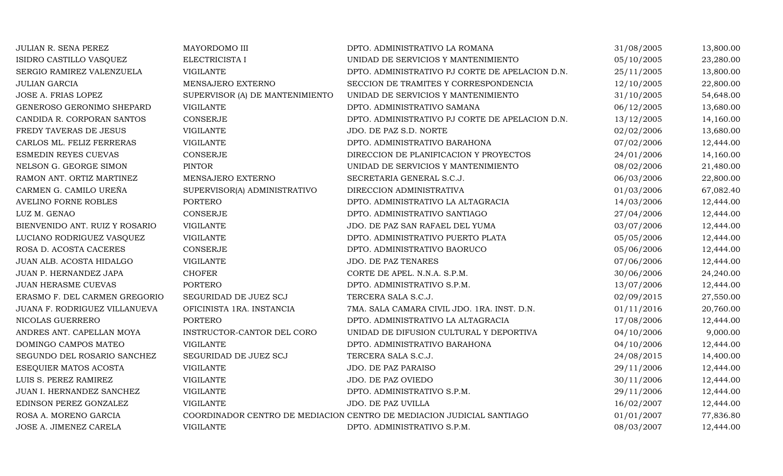| JULIAN R. SENA PEREZ           | MAYORDOMO III                   | DPTO. ADMINISTRATIVO LA ROMANA                                        | 31/08/2005 | 13,800.00 |
|--------------------------------|---------------------------------|-----------------------------------------------------------------------|------------|-----------|
| ISIDRO CASTILLO VASQUEZ        | ELECTRICISTA I                  | UNIDAD DE SERVICIOS Y MANTENIMIENTO                                   | 05/10/2005 | 23,280.00 |
| SERGIO RAMIREZ VALENZUELA      | <b>VIGILANTE</b>                | DPTO. ADMINISTRATIVO PJ CORTE DE APELACION D.N.                       | 25/11/2005 | 13,800.00 |
| JULIAN GARCIA                  | MENSAJERO EXTERNO               | SECCION DE TRAMITES Y CORRESPONDENCIA                                 | 12/10/2005 | 22,800.00 |
| JOSE A. FRIAS LOPEZ            | SUPERVISOR (A) DE MANTENIMIENTO | UNIDAD DE SERVICIOS Y MANTENIMIENTO                                   | 31/10/2005 | 54,648.00 |
| GENEROSO GERONIMO SHEPARD      | <b>VIGILANTE</b>                | DPTO. ADMINISTRATIVO SAMANA                                           | 06/12/2005 | 13,680.00 |
| CANDIDA R. CORPORAN SANTOS     | <b>CONSERJE</b>                 | DPTO. ADMINISTRATIVO PJ CORTE DE APELACION D.N.                       | 13/12/2005 | 14,160.00 |
| FREDY TAVERAS DE JESUS         | <b>VIGILANTE</b>                | JDO. DE PAZ S.D. NORTE                                                | 02/02/2006 | 13,680.00 |
| CARLOS ML. FELIZ FERRERAS      | <b>VIGILANTE</b>                | DPTO. ADMINISTRATIVO BARAHONA                                         | 07/02/2006 | 12,444.00 |
| ESMEDIN REYES CUEVAS           | <b>CONSERJE</b>                 | DIRECCION DE PLANIFICACION Y PROYECTOS                                | 24/01/2006 | 14,160.00 |
| NELSON G. GEORGE SIMON         | <b>PINTOR</b>                   | UNIDAD DE SERVICIOS Y MANTENIMIENTO                                   | 08/02/2006 | 21,480.00 |
| RAMON ANT. ORTIZ MARTINEZ      | MENSAJERO EXTERNO               | SECRETARIA GENERAL S.C.J.                                             | 06/03/2006 | 22,800.00 |
| CARMEN G. CAMILO UREÑA         | SUPERVISOR(A) ADMINISTRATIVO    | DIRECCION ADMINISTRATIVA                                              | 01/03/2006 | 67,082.40 |
| <b>AVELINO FORNE ROBLES</b>    | <b>PORTERO</b>                  | DPTO. ADMINISTRATIVO LA ALTAGRACIA                                    | 14/03/2006 | 12,444.00 |
| LUZ M. GENAO                   | CONSERJE                        | DPTO. ADMINISTRATIVO SANTIAGO                                         | 27/04/2006 | 12,444.00 |
| BIENVENIDO ANT. RUIZ Y ROSARIO | <b>VIGILANTE</b>                | JDO. DE PAZ SAN RAFAEL DEL YUMA                                       | 03/07/2006 | 12,444.00 |
| LUCIANO RODRIGUEZ VASQUEZ      | <b>VIGILANTE</b>                | DPTO. ADMINISTRATIVO PUERTO PLATA                                     | 05/05/2006 | 12,444.00 |
| ROSA D. ACOSTA CACERES         | <b>CONSERJE</b>                 | DPTO. ADMINISTRATIVO BAORUCO                                          | 05/06/2006 | 12,444.00 |
| JUAN ALB. ACOSTA HIDALGO       | <b>VIGILANTE</b>                | JDO. DE PAZ TENARES                                                   | 07/06/2006 | 12,444.00 |
| JUAN P. HERNANDEZ JAPA         | <b>CHOFER</b>                   | CORTE DE APEL. N.N.A. S.P.M.                                          | 30/06/2006 | 24,240.00 |
| <b>JUAN HERASME CUEVAS</b>     | <b>PORTERO</b>                  | DPTO. ADMINISTRATIVO S.P.M.                                           | 13/07/2006 | 12,444.00 |
| ERASMO F. DEL CARMEN GREGORIO  | SEGURIDAD DE JUEZ SCJ           | TERCERA SALA S.C.J.                                                   | 02/09/2015 | 27,550.00 |
| JUANA F. RODRIGUEZ VILLANUEVA  | OFICINISTA 1RA. INSTANCIA       | 7MA. SALA CAMARA CIVIL JDO. 1RA. INST. D.N.                           | 01/11/2016 | 20,760.00 |
| NICOLAS GUERRERO               | <b>PORTERO</b>                  | DPTO. ADMINISTRATIVO LA ALTAGRACIA                                    | 17/08/2006 | 12,444.00 |
| ANDRES ANT. CAPELLAN MOYA      | INSTRUCTOR-CANTOR DEL CORO      | UNIDAD DE DIFUSION CULTURAL Y DEPORTIVA                               | 04/10/2006 | 9,000.00  |
| DOMINGO CAMPOS MATEO           | <b>VIGILANTE</b>                | DPTO. ADMINISTRATIVO BARAHONA                                         | 04/10/2006 | 12,444.00 |
| SEGUNDO DEL ROSARIO SANCHEZ    | SEGURIDAD DE JUEZ SCJ           | TERCERA SALA S.C.J.                                                   | 24/08/2015 | 14,400.00 |
| ESEQUIER MATOS ACOSTA          | <b>VIGILANTE</b>                | JDO. DE PAZ PARAISO                                                   | 29/11/2006 | 12,444.00 |
| LUIS S. PEREZ RAMIREZ          | <b>VIGILANTE</b>                | JDO. DE PAZ OVIEDO                                                    | 30/11/2006 | 12,444.00 |
| JUAN I. HERNANDEZ SANCHEZ      | <b>VIGILANTE</b>                | DPTO. ADMINISTRATIVO S.P.M.                                           | 29/11/2006 | 12,444.00 |
| EDINSON PEREZ GONZALEZ         | <b>VIGILANTE</b>                | JDO. DE PAZ UVILLA                                                    | 16/02/2007 | 12,444.00 |
| ROSA A. MORENO GARCIA          |                                 | COORDINADOR CENTRO DE MEDIACION CENTRO DE MEDIACION JUDICIAL SANTIAGO | 01/01/2007 | 77,836.80 |
| JOSE A. JIMENEZ CARELA         | <b>VIGILANTE</b>                | DPTO. ADMINISTRATIVO S.P.M.                                           | 08/03/2007 | 12,444.00 |
|                                |                                 |                                                                       |            |           |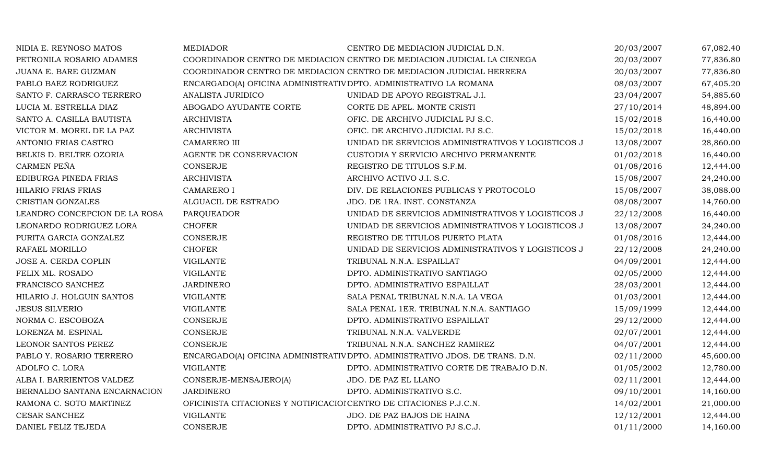| NIDIA E. REYNOSO MATOS        | <b>MEDIADOR</b>                                                    | CENTRO DE MEDIACION JUDICIAL D.N.                                            | 20/03/2007 | 67,082.40 |
|-------------------------------|--------------------------------------------------------------------|------------------------------------------------------------------------------|------------|-----------|
| PETRONILA ROSARIO ADAMES      |                                                                    | COORDINADOR CENTRO DE MEDIACION CENTRO DE MEDIACION JUDICIAL LA CIENEGA      | 20/03/2007 | 77,836.80 |
| JUANA E. BARE GUZMAN          |                                                                    | COORDINADOR CENTRO DE MEDIACION CENTRO DE MEDIACION JUDICIAL HERRERA         | 20/03/2007 | 77,836.80 |
| PABLO BAEZ RODRIGUEZ          | ENCARGADO(A) OFICINA ADMINISTRATIV DPTO. ADMINISTRATIVO LA ROMANA  |                                                                              | 08/03/2007 | 67,405.20 |
| SANTO F. CARRASCO TERRERO     | ANALISTA JURIDICO                                                  | UNIDAD DE APOYO REGISTRAL J.I.                                               | 23/04/2007 | 54,885.60 |
| LUCIA M. ESTRELLA DIAZ        | ABOGADO AYUDANTE CORTE                                             | CORTE DE APEL. MONTE CRISTI                                                  | 27/10/2014 | 48,894.00 |
| SANTO A. CASILLA BAUTISTA     | <b>ARCHIVISTA</b>                                                  | OFIC. DE ARCHIVO JUDICIAL PJ S.C.                                            | 15/02/2018 | 16,440.00 |
| VICTOR M. MOREL DE LA PAZ     | <b>ARCHIVISTA</b>                                                  | OFIC. DE ARCHIVO JUDICIAL PJ S.C.                                            | 15/02/2018 | 16,440.00 |
| ANTONIO FRIAS CASTRO          | <b>CAMARERO III</b>                                                | UNIDAD DE SERVICIOS ADMINISTRATIVOS Y LOGISTICOS J                           | 13/08/2007 | 28,860.00 |
| BELKIS D. BELTRE OZORIA       | AGENTE DE CONSERVACION                                             | CUSTODIA Y SERVICIO ARCHIVO PERMANENTE                                       | 01/02/2018 | 16,440.00 |
| CARMEN PEÑA                   | CONSERJE                                                           | REGISTRO DE TITULOS S.F.M.                                                   | 01/08/2016 | 12,444.00 |
| EDIBURGA PINEDA FRIAS         | <b>ARCHIVISTA</b>                                                  | ARCHIVO ACTIVO J.I. S.C.                                                     | 15/08/2007 | 24,240.00 |
| HILARIO FRIAS FRIAS           | <b>CAMARERO I</b>                                                  | DIV. DE RELACIONES PUBLICAS Y PROTOCOLO                                      | 15/08/2007 | 38,088.00 |
| CRISTIAN GONZALES             | ALGUACIL DE ESTRADO                                                | JDO. DE 1RA. INST. CONSTANZA                                                 | 08/08/2007 | 14,760.00 |
| LEANDRO CONCEPCION DE LA ROSA | PARQUEADOR                                                         | UNIDAD DE SERVICIOS ADMINISTRATIVOS Y LOGISTICOS J                           | 22/12/2008 | 16,440.00 |
| LEONARDO RODRIGUEZ LORA       | <b>CHOFER</b>                                                      | UNIDAD DE SERVICIOS ADMINISTRATIVOS Y LOGISTICOS J                           | 13/08/2007 | 24,240.00 |
| PURITA GARCIA GONZALEZ        | <b>CONSERJE</b>                                                    | REGISTRO DE TITULOS PUERTO PLATA                                             | 01/08/2016 | 12,444.00 |
| RAFAEL MORILLO                | <b>CHOFER</b>                                                      | UNIDAD DE SERVICIOS ADMINISTRATIVOS Y LOGISTICOS J                           | 22/12/2008 | 24,240.00 |
| JOSE A. CERDA COPLIN          | <b>VIGILANTE</b>                                                   | TRIBUNAL N.N.A. ESPAILLAT                                                    | 04/09/2001 | 12,444.00 |
| FELIX ML. ROSADO              | <b>VIGILANTE</b>                                                   | DPTO. ADMINISTRATIVO SANTIAGO                                                | 02/05/2000 | 12,444.00 |
| FRANCISCO SANCHEZ             | <b>JARDINERO</b>                                                   | DPTO. ADMINISTRATIVO ESPAILLAT                                               | 28/03/2001 | 12,444.00 |
| HILARIO J. HOLGUIN SANTOS     | <b>VIGILANTE</b>                                                   | SALA PENAL TRIBUNAL N.N.A. LA VEGA                                           | 01/03/2001 | 12,444.00 |
| <b>JESUS SILVERIO</b>         | <b>VIGILANTE</b>                                                   | SALA PENAL 1ER. TRIBUNAL N.N.A. SANTIAGO                                     | 15/09/1999 | 12,444.00 |
| NORMA C. ESCOBOZA             | <b>CONSERJE</b>                                                    | DPTO. ADMINISTRATIVO ESPAILLAT                                               | 29/12/2000 | 12,444.00 |
| LORENZA M. ESPINAL            | <b>CONSERJE</b>                                                    | TRIBUNAL N.N.A. VALVERDE                                                     | 02/07/2001 | 12,444.00 |
| LEONOR SANTOS PEREZ           | CONSERJE                                                           | TRIBUNAL N.N.A. SANCHEZ RAMIREZ                                              | 04/07/2001 | 12,444.00 |
| PABLO Y. ROSARIO TERRERO      |                                                                    | ENCARGADO(A) OFICINA ADMINISTRATIV DPTO. ADMINISTRATIVO JDOS. DE TRANS. D.N. | 02/11/2000 | 45,600.00 |
| ADOLFO C. LORA                | <b>VIGILANTE</b>                                                   | DPTO. ADMINISTRATIVO CORTE DE TRABAJO D.N.                                   | 01/05/2002 | 12,780.00 |
| ALBA I. BARRIENTOS VALDEZ     | CONSERJE-MENSAJERO(A)                                              | JDO. DE PAZ EL LLANO                                                         | 02/11/2001 | 12,444.00 |
| BERNALDO SANTANA ENCARNACION  | <b>JARDINERO</b>                                                   | DPTO. ADMINISTRATIVO S.C.                                                    | 09/10/2001 | 14,160.00 |
| RAMONA C. SOTO MARTINEZ       | OFICINISTA CITACIONES Y NOTIFICACIOI CENTRO DE CITACIONES P.J.C.N. |                                                                              | 14/02/2001 | 21,000.00 |
| <b>CESAR SANCHEZ</b>          | <b>VIGILANTE</b>                                                   | JDO. DE PAZ BAJOS DE HAINA                                                   | 12/12/2001 | 12,444.00 |
| DANIEL FELIZ TEJEDA           | CONSERJE                                                           | DPTO. ADMINISTRATIVO PJ S.C.J.                                               | 01/11/2000 | 14,160.00 |
|                               |                                                                    |                                                                              |            |           |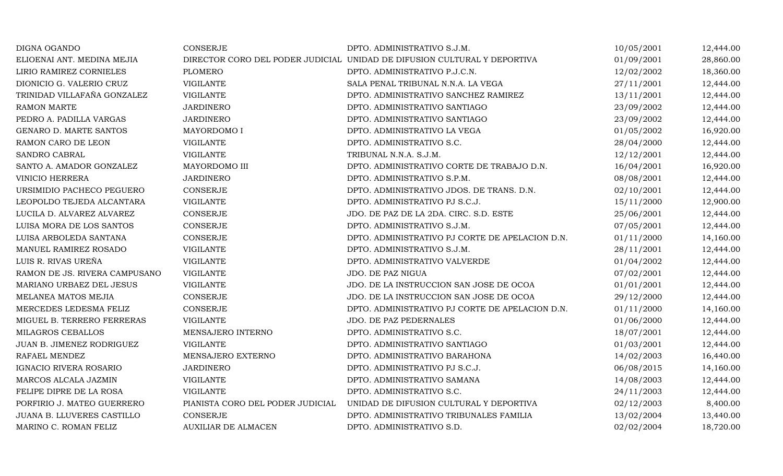| DIGNA OGANDO                  | <b>CONSERJE</b>                  | DPTO. ADMINISTRATIVO S.J.M.                                              | 10/05/2001 | 12,444.00 |
|-------------------------------|----------------------------------|--------------------------------------------------------------------------|------------|-----------|
| ELIOENAI ANT. MEDINA MEJIA    |                                  | DIRECTOR CORO DEL PODER JUDICIAL UNIDAD DE DIFUSION CULTURAL Y DEPORTIVA | 01/09/2001 | 28,860.00 |
| LIRIO RAMIREZ CORNIELES       | <b>PLOMERO</b>                   | DPTO. ADMINISTRATIVO P.J.C.N.                                            | 12/02/2002 | 18,360.00 |
| DIONICIO G. VALERIO CRUZ      | <b>VIGILANTE</b>                 | SALA PENAL TRIBUNAL N.N.A. LA VEGA                                       | 27/11/2001 | 12,444.00 |
| TRINIDAD VILLAFAÑA GONZALEZ   | <b>VIGILANTE</b>                 | DPTO. ADMINISTRATIVO SANCHEZ RAMIREZ                                     | 13/11/2001 | 12,444.00 |
| <b>RAMON MARTE</b>            | <b>JARDINERO</b>                 | DPTO. ADMINISTRATIVO SANTIAGO                                            | 23/09/2002 | 12,444.00 |
| PEDRO A. PADILLA VARGAS       | <b>JARDINERO</b>                 | DPTO. ADMINISTRATIVO SANTIAGO                                            | 23/09/2002 | 12,444.00 |
| GENARO D. MARTE SANTOS        | MAYORDOMO I                      | DPTO. ADMINISTRATIVO LA VEGA                                             | 01/05/2002 | 16,920.00 |
| RAMON CARO DE LEON            | <b>VIGILANTE</b>                 | DPTO. ADMINISTRATIVO S.C.                                                | 28/04/2000 | 12,444.00 |
| SANDRO CABRAL                 | <b>VIGILANTE</b>                 | TRIBUNAL N.N.A. S.J.M.                                                   | 12/12/2001 | 12,444.00 |
| SANTO A. AMADOR GONZALEZ      | MAYORDOMO III                    | DPTO. ADMINISTRATIVO CORTE DE TRABAJO D.N.                               | 16/04/2001 | 16,920.00 |
| <b>VINICIO HERRERA</b>        | <b>JARDINERO</b>                 | DPTO. ADMINISTRATIVO S.P.M.                                              | 08/08/2001 | 12,444.00 |
| URSIMIDIO PACHECO PEGUERO     | <b>CONSERJE</b>                  | DPTO. ADMINISTRATIVO JDOS. DE TRANS. D.N.                                | 02/10/2001 | 12,444.00 |
| LEOPOLDO TEJEDA ALCANTARA     | <b>VIGILANTE</b>                 | DPTO. ADMINISTRATIVO PJ S.C.J.                                           | 15/11/2000 | 12,900.00 |
| LUCILA D. ALVAREZ ALVAREZ     | CONSERJE                         | JDO. DE PAZ DE LA 2DA. CIRC. S.D. ESTE                                   | 25/06/2001 | 12,444.00 |
| LUISA MORA DE LOS SANTOS      | <b>CONSERJE</b>                  | DPTO. ADMINISTRATIVO S.J.M.                                              | 07/05/2001 | 12,444.00 |
| LUISA ARBOLEDA SANTANA        | <b>CONSERJE</b>                  | DPTO. ADMINISTRATIVO PJ CORTE DE APELACION D.N.                          | 01/11/2000 | 14,160.00 |
| <b>MANUEL RAMIREZ ROSADO</b>  | <b>VIGILANTE</b>                 | DPTO. ADMINISTRATIVO S.J.M.                                              | 28/11/2001 | 12,444.00 |
| LUIS R. RIVAS UREÑA           | <b>VIGILANTE</b>                 | DPTO. ADMINISTRATIVO VALVERDE                                            | 01/04/2002 | 12,444.00 |
| RAMON DE JS. RIVERA CAMPUSANO | <b>VIGILANTE</b>                 | JDO. DE PAZ NIGUA                                                        | 07/02/2001 | 12,444.00 |
| MARIANO URBAEZ DEL JESUS      | <b>VIGILANTE</b>                 | JDO. DE LA INSTRUCCION SAN JOSE DE OCOA                                  | 01/01/2001 | 12,444.00 |
| MELANEA MATOS MEJIA           | <b>CONSERJE</b>                  | JDO. DE LA INSTRUCCION SAN JOSE DE OCOA                                  | 29/12/2000 | 12,444.00 |
| MERCEDES LEDESMA FELIZ        | <b>CONSERJE</b>                  | DPTO. ADMINISTRATIVO PJ CORTE DE APELACION D.N.                          | 01/11/2000 | 14,160.00 |
| MIGUEL B. TERRERO FERRERAS    | <b>VIGILANTE</b>                 | JDO. DE PAZ PEDERNALES                                                   | 01/06/2000 | 12,444.00 |
| MILAGROS CEBALLOS             | MENSAJERO INTERNO                | DPTO. ADMINISTRATIVO S.C.                                                | 18/07/2001 | 12,444.00 |
| JUAN B. JIMENEZ RODRIGUEZ     | <b>VIGILANTE</b>                 | DPTO. ADMINISTRATIVO SANTIAGO                                            | 01/03/2001 | 12,444.00 |
| RAFAEL MENDEZ                 | MENSAJERO EXTERNO                | DPTO. ADMINISTRATIVO BARAHONA                                            | 14/02/2003 | 16,440.00 |
| IGNACIO RIVERA ROSARIO        | <b>JARDINERO</b>                 | DPTO. ADMINISTRATIVO PJ S.C.J.                                           | 06/08/2015 | 14,160.00 |
| MARCOS ALCALA JAZMIN          | <b>VIGILANTE</b>                 | DPTO. ADMINISTRATIVO SAMANA                                              | 14/08/2003 | 12,444.00 |
| FELIPE DIPRE DE LA ROSA       | <b>VIGILANTE</b>                 | DPTO. ADMINISTRATIVO S.C.                                                | 24/11/2003 | 12,444.00 |
| PORFIRIO J. MATEO GUERRERO    | PIANISTA CORO DEL PODER JUDICIAL | UNIDAD DE DIFUSION CULTURAL Y DEPORTIVA                                  | 02/12/2003 | 8,400.00  |
| JUANA B. LLUVERES CASTILLO    | <b>CONSERJE</b>                  | DPTO. ADMINISTRATIVO TRIBUNALES FAMILIA                                  | 13/02/2004 | 13,440.00 |
| MARINO C. ROMAN FELIZ         | <b>AUXILIAR DE ALMACEN</b>       | DPTO. ADMINISTRATIVO S.D.                                                | 02/02/2004 | 18,720.00 |
|                               |                                  |                                                                          |            |           |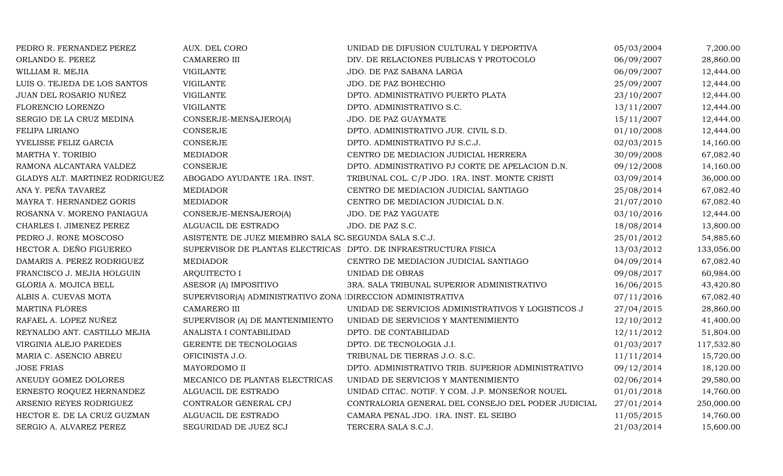| PEDRO R. FERNANDEZ PEREZ       | AUX. DEL CORO                                                    | UNIDAD DE DIFUSION CULTURAL Y DEPORTIVA            | 05/03/2004 | 7,200.00   |
|--------------------------------|------------------------------------------------------------------|----------------------------------------------------|------------|------------|
| ORLANDO E. PEREZ               | <b>CAMARERO III</b>                                              | DIV. DE RELACIONES PUBLICAS Y PROTOCOLO            | 06/09/2007 | 28,860.00  |
| WILLIAM R. MEJIA               | <b>VIGILANTE</b>                                                 | JDO. DE PAZ SABANA LARGA                           | 06/09/2007 | 12,444.00  |
| LUIS O. TEJEDA DE LOS SANTOS   | <b>VIGILANTE</b>                                                 | JDO. DE PAZ BOHECHIO                               | 25/09/2007 | 12,444.00  |
| JUAN DEL ROSARIO NUÑEZ         | <b>VIGILANTE</b>                                                 | DPTO. ADMINISTRATIVO PUERTO PLATA                  | 23/10/2007 | 12,444.00  |
| FLORENCIO LORENZO              | <b>VIGILANTE</b>                                                 | DPTO. ADMINISTRATIVO S.C.                          | 13/11/2007 | 12,444.00  |
| SERGIO DE LA CRUZ MEDINA       | CONSERJE-MENSAJERO(A)                                            | JDO. DE PAZ GUAYMATE                               | 15/11/2007 | 12,444.00  |
| FELIPA LIRIANO                 | <b>CONSERJE</b>                                                  | DPTO. ADMINISTRATIVO JUR. CIVIL S.D.               | 01/10/2008 | 12,444.00  |
| YVELISSE FELIZ GARCIA          | <b>CONSERJE</b>                                                  | DPTO. ADMINISTRATIVO PJ S.C.J.                     | 02/03/2015 | 14,160.00  |
| MARTHA Y. TORIBIO              | <b>MEDIADOR</b>                                                  | CENTRO DE MEDIACION JUDICIAL HERRERA               | 30/09/2008 | 67,082.40  |
| RAMONA ALCANTARA VALDEZ        | <b>CONSERJE</b>                                                  | DPTO. ADMINISTRATIVO PJ CORTE DE APELACION D.N.    | 09/12/2008 | 14,160.00  |
| GLADYS ALT. MARTINEZ RODRIGUEZ | ABOGADO AYUDANTE 1RA. INST.                                      | TRIBUNAL COL. C/P JDO. 1RA. INST. MONTE CRISTI     | 03/09/2014 | 36,000.00  |
| ANA Y. PEÑA TAVAREZ            | <b>MEDIADOR</b>                                                  | CENTRO DE MEDIACION JUDICIAL SANTIAGO              | 25/08/2014 | 67,082.40  |
| MAYRA T. HERNANDEZ GORIS       | <b>MEDIADOR</b>                                                  | CENTRO DE MEDIACION JUDICIAL D.N.                  | 21/07/2010 | 67,082.40  |
| ROSANNA V. MORENO PANIAGUA     | CONSERJE-MENSAJERO(A)                                            | JDO. DE PAZ YAGUATE                                | 03/10/2016 | 12,444.00  |
| CHARLES I. JIMENEZ PEREZ       | ALGUACIL DE ESTRADO                                              | JDO. DE PAZ S.C.                                   | 18/08/2014 | 13,800.00  |
| PEDRO J. RONE MOSCOSO          | ASISTENTE DE JUEZ MIEMBRO SALA SC SEGUNDA SALA S.C.J.            |                                                    | 25/01/2012 | 54,885.60  |
| HECTOR A. DEÑO FIGUEREO        | SUPERVISOR DE PLANTAS ELECTRICAS DPTO. DE INFRAESTRUCTURA FISICA |                                                    | 13/03/2012 | 133,056.00 |
| DAMARIS A. PEREZ RODRIGUEZ     | <b>MEDIADOR</b>                                                  | CENTRO DE MEDIACION JUDICIAL SANTIAGO              | 04/09/2014 | 67,082.40  |
| FRANCISCO J. MEJIA HOLGUIN     | ARQUITECTO I                                                     | UNIDAD DE OBRAS                                    | 09/08/2017 | 60,984.00  |
| GLORIA A. MOJICA BELL          | ASESOR (A) IMPOSITIVO                                            | 3RA. SALA TRIBUNAL SUPERIOR ADMINISTRATIVO         | 16/06/2015 | 43,420.80  |
| ALBIS A. CUEVAS MOTA           | SUPERVISOR(A) ADMINISTRATIVO ZONA DIRECCION ADMINISTRATIVA       |                                                    | 07/11/2016 | 67,082.40  |
| <b>MARTINA FLORES</b>          | <b>CAMARERO III</b>                                              | UNIDAD DE SERVICIOS ADMINISTRATIVOS Y LOGISTICOS J | 27/04/2015 | 28,860.00  |
| RAFAEL A. LOPEZ NUÑEZ          | SUPERVISOR (A) DE MANTENIMIENTO                                  | UNIDAD DE SERVICIOS Y MANTENIMIENTO                | 12/10/2012 | 41,400.00  |
| REYNALDO ANT. CASTILLO MEJIA   | ANALISTA I CONTABILIDAD                                          | DPTO. DE CONTABILIDAD                              | 12/11/2012 | 51,804.00  |
| VIRGINIA ALEJO PAREDES         | GERENTE DE TECNOLOGIAS                                           | DPTO. DE TECNOLOGIA J.I.                           | 01/03/2017 | 117,532.80 |
| MARIA C. ASENCIO ABREU         | OFICINISTA J.O.                                                  | TRIBUNAL DE TIERRAS J.O. S.C.                      | 11/11/2014 | 15,720.00  |
| <b>JOSE FRIAS</b>              | MAYORDOMO II                                                     | DPTO. ADMINISTRATIVO TRIB. SUPERIOR ADMINISTRATIVO | 09/12/2014 | 18,120.00  |
| ANEUDY GOMEZ DOLORES           | MECANICO DE PLANTAS ELECTRICAS                                   | UNIDAD DE SERVICIOS Y MANTENIMIENTO                | 02/06/2014 | 29,580.00  |
| ERNESTO ROQUEZ HERNANDEZ       | ALGUACIL DE ESTRADO                                              | UNIDAD CITAC. NOTIF. Y COM. J.P. MONSEÑOR NOUEL    | 01/01/2018 | 14,760.00  |
| ARSENIO REYES RODRIGUEZ        | CONTRALOR GENERAL CPJ                                            | CONTRALORIA GENERAL DEL CONSEJO DEL PODER JUDICIAL | 27/01/2014 | 250,000.00 |
| HECTOR E. DE LA CRUZ GUZMAN    | ALGUACIL DE ESTRADO                                              | CAMARA PENAL JDO. 1RA. INST. EL SEIBO              | 11/05/2015 | 14,760.00  |
| SERGIO A. ALVAREZ PEREZ        | SEGURIDAD DE JUEZ SCJ                                            | TERCERA SALA S.C.J.                                | 21/03/2014 | 15,600.00  |
|                                |                                                                  |                                                    |            |            |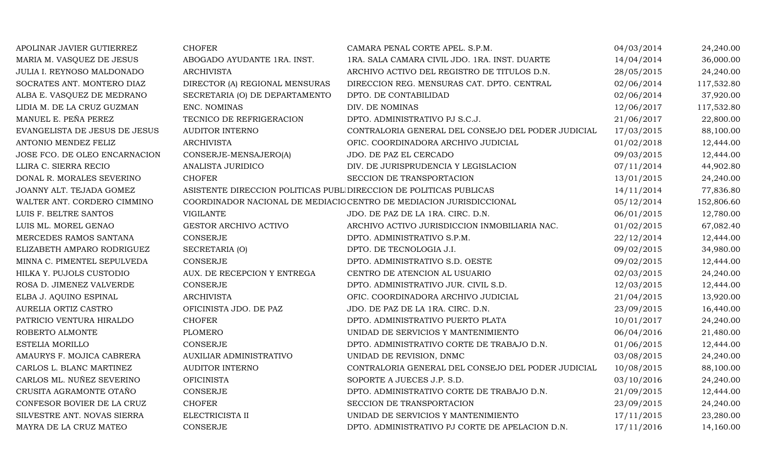| APOLINAR JAVIER GUTIERREZ     | <b>CHOFER</b>                                                      | CAMARA PENAL CORTE APEL. S.P.M.                                     | 04/03/2014 | 24,240.00  |
|-------------------------------|--------------------------------------------------------------------|---------------------------------------------------------------------|------------|------------|
| MARIA M. VASQUEZ DE JESUS     | ABOGADO AYUDANTE 1RA. INST.                                        | 1RA. SALA CAMARA CIVIL JDO. 1RA. INST. DUARTE                       | 14/04/2014 | 36,000.00  |
| JULIA I. REYNOSO MALDONADO    | <b>ARCHIVISTA</b>                                                  | ARCHIVO ACTIVO DEL REGISTRO DE TITULOS D.N.                         | 28/05/2015 | 24,240.00  |
| SOCRATES ANT. MONTERO DIAZ    | DIRECTOR (A) REGIONAL MENSURAS                                     | DIRECCION REG. MENSURAS CAT. DPTO. CENTRAL                          | 02/06/2014 | 117,532.80 |
| ALBA E. VASQUEZ DE MEDRANO    | SECRETARIA (O) DE DEPARTAMENTO                                     | DPTO. DE CONTABILIDAD                                               | 02/06/2014 | 37,920.00  |
| LIDIA M. DE LA CRUZ GUZMAN    | ENC. NOMINAS                                                       | DIV. DE NOMINAS                                                     | 12/06/2017 | 117,532.80 |
| MANUEL E. PEÑA PEREZ          | TECNICO DE REFRIGERACION                                           | DPTO. ADMINISTRATIVO PJ S.C.J.                                      | 21/06/2017 | 22,800.00  |
| EVANGELISTA DE JESUS DE JESUS | <b>AUDITOR INTERNO</b>                                             | CONTRALORIA GENERAL DEL CONSEJO DEL PODER JUDICIAL                  | 17/03/2015 | 88,100.00  |
| ANTONIO MENDEZ FELIZ          | <b>ARCHIVISTA</b>                                                  | OFIC. COORDINADORA ARCHIVO JUDICIAL                                 | 01/02/2018 | 12,444.00  |
| JOSE FCO. DE OLEO ENCARNACION | CONSERJE-MENSAJERO(A)                                              | JDO. DE PAZ EL CERCADO                                              | 09/03/2015 | 12,444.00  |
| LLIRA C. SIERRA RECIO         | ANALISTA JURIDICO                                                  | DIV. DE JURISPRUDENCIA Y LEGISLACION                                | 07/11/2014 | 44,902.80  |
| DONAL R. MORALES SEVERINO     | <b>CHOFER</b>                                                      | SECCION DE TRANSPORTACION                                           | 13/01/2015 | 24,240.00  |
| JOANNY ALT. TEJADA GOMEZ      | ASISTENTE DIRECCION POLITICAS PUBL DIRECCION DE POLITICAS PUBLICAS |                                                                     | 14/11/2014 | 77,836.80  |
| WALTER ANT. CORDERO CIMMINO   |                                                                    | COORDINADOR NACIONAL DE MEDIACIC CENTRO DE MEDIACION JURISDICCIONAL | 05/12/2014 | 152,806.60 |
| LUIS F. BELTRE SANTOS         | <b>VIGILANTE</b>                                                   | JDO. DE PAZ DE LA 1RA. CIRC. D.N.                                   | 06/01/2015 | 12,780.00  |
| LUIS ML. MOREL GENAO          | <b>GESTOR ARCHIVO ACTIVO</b>                                       | ARCHIVO ACTIVO JURISDICCION INMOBILIARIA NAC.                       | 01/02/2015 | 67,082.40  |
| MERCEDES RAMOS SANTANA        | <b>CONSERJE</b>                                                    | DPTO. ADMINISTRATIVO S.P.M.                                         | 22/12/2014 | 12,444.00  |
| ELIZABETH AMPARO RODRIGUEZ    | SECRETARIA (O)                                                     | DPTO. DE TECNOLOGIA J.I.                                            | 09/02/2015 | 34,980.00  |
| MINNA C. PIMENTEL SEPULVEDA   | <b>CONSERJE</b>                                                    | DPTO. ADMINISTRATIVO S.D. OESTE                                     | 09/02/2015 | 12,444.00  |
| HILKA Y. PUJOLS CUSTODIO      | AUX. DE RECEPCION Y ENTREGA                                        | CENTRO DE ATENCION AL USUARIO                                       | 02/03/2015 | 24,240.00  |
| ROSA D. JIMENEZ VALVERDE      | <b>CONSERJE</b>                                                    | DPTO. ADMINISTRATIVO JUR. CIVIL S.D.                                | 12/03/2015 | 12,444.00  |
| ELBA J. AQUINO ESPINAL        | <b>ARCHIVISTA</b>                                                  | OFIC. COORDINADORA ARCHIVO JUDICIAL                                 | 21/04/2015 | 13,920.00  |
| AURELIA ORTIZ CASTRO          | OFICINISTA JDO. DE PAZ                                             | JDO. DE PAZ DE LA 1RA. CIRC. D.N.                                   | 23/09/2015 | 16,440.00  |
| PATRICIO VENTURA HIRALDO      | <b>CHOFER</b>                                                      | DPTO. ADMINISTRATIVO PUERTO PLATA                                   | 10/01/2017 | 24,240.00  |
| ROBERTO ALMONTE               | <b>PLOMERO</b>                                                     | UNIDAD DE SERVICIOS Y MANTENIMIENTO                                 | 06/04/2016 | 21,480.00  |
| ESTELIA MORILLO               | <b>CONSERJE</b>                                                    | DPTO. ADMINISTRATIVO CORTE DE TRABAJO D.N.                          | 01/06/2015 | 12,444.00  |
| AMAURYS F. MOJICA CABRERA     | AUXILIAR ADMINISTRATIVO                                            | UNIDAD DE REVISION, DNMC                                            | 03/08/2015 | 24,240.00  |
| CARLOS L. BLANC MARTINEZ      | <b>AUDITOR INTERNO</b>                                             | CONTRALORIA GENERAL DEL CONSEJO DEL PODER JUDICIAL                  | 10/08/2015 | 88,100.00  |
| CARLOS ML. NUÑEZ SEVERINO     | <b>OFICINISTA</b>                                                  | SOPORTE A JUECES J.P. S.D.                                          | 03/10/2016 | 24,240.00  |
| CRUSITA AGRAMONTE OTAÑO       | <b>CONSERJE</b>                                                    | DPTO. ADMINISTRATIVO CORTE DE TRABAJO D.N.                          | 21/09/2015 | 12,444.00  |
| CONFESOR BOVIER DE LA CRUZ    | <b>CHOFER</b>                                                      | SECCION DE TRANSPORTACION                                           | 23/09/2015 | 24,240.00  |
| SILVESTRE ANT. NOVAS SIERRA   | ELECTRICISTA II                                                    | UNIDAD DE SERVICIOS Y MANTENIMIENTO                                 | 17/11/2015 | 23,280.00  |
| MAYRA DE LA CRUZ MATEO        | CONSERJE                                                           | DPTO. ADMINISTRATIVO PJ CORTE DE APELACION D.N.                     | 17/11/2016 | 14,160.00  |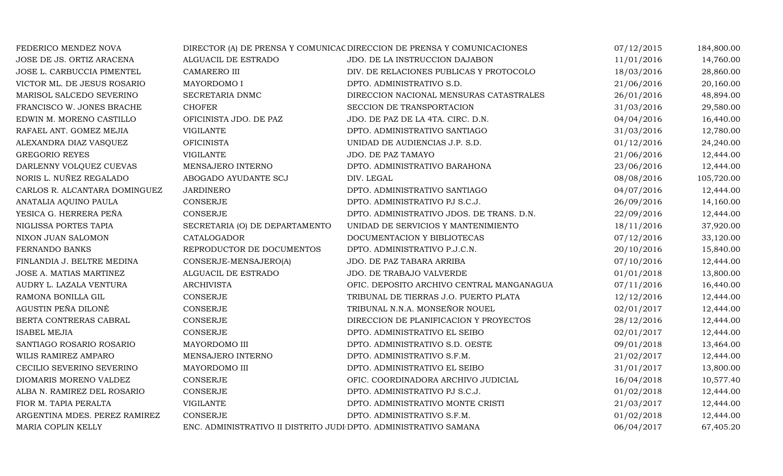| JOSE DE JS. ORTIZ ARACENA     | ALGUACIL DE ESTRADO                                              |                                           |            |            |
|-------------------------------|------------------------------------------------------------------|-------------------------------------------|------------|------------|
|                               |                                                                  | JDO. DE LA INSTRUCCION DAJABON            | 11/01/2016 | 14,760.00  |
| JOSE L. CARBUCCIA PIMENTEL    | CAMARERO III                                                     | DIV. DE RELACIONES PUBLICAS Y PROTOCOLO   | 18/03/2016 | 28,860.00  |
| VICTOR ML. DE JESUS ROSARIO   | MAYORDOMO I                                                      | DPTO. ADMINISTRATIVO S.D.                 | 21/06/2016 | 20,160.00  |
| MARISOL SALCEDO SEVERINO      | SECRETARIA DNMC                                                  | DIRECCION NACIONAL MENSURAS CATASTRALES   | 26/01/2016 | 48,894.00  |
| FRANCISCO W. JONES BRACHE     | <b>CHOFER</b>                                                    | SECCION DE TRANSPORTACION                 | 31/03/2016 | 29,580.00  |
| EDWIN M. MORENO CASTILLO      | OFICINISTA JDO. DE PAZ                                           | JDO. DE PAZ DE LA 4TA. CIRC. D.N.         | 04/04/2016 | 16,440.00  |
| RAFAEL ANT. GOMEZ MEJIA       | <b>VIGILANTE</b>                                                 | DPTO. ADMINISTRATIVO SANTIAGO             | 31/03/2016 | 12,780.00  |
| ALEXANDRA DIAZ VASQUEZ        | <b>OFICINISTA</b>                                                | UNIDAD DE AUDIENCIAS J.P. S.D.            | 01/12/2016 | 24,240.00  |
| <b>GREGORIO REYES</b>         | <b>VIGILANTE</b>                                                 | JDO. DE PAZ TAMAYO                        | 21/06/2016 | 12,444.00  |
| DARLENNY VOLQUEZ CUEVAS       | MENSAJERO INTERNO                                                | DPTO. ADMINISTRATIVO BARAHONA             | 23/06/2016 | 12,444.00  |
| NORIS L. NUÑEZ REGALADO       | ABOGADO AYUDANTE SCJ                                             | DIV. LEGAL                                | 08/08/2016 | 105,720.00 |
| CARLOS R. ALCANTARA DOMINGUEZ | <b>JARDINERO</b>                                                 | DPTO. ADMINISTRATIVO SANTIAGO             | 04/07/2016 | 12,444.00  |
| ANATALIA AQUINO PAULA         | <b>CONSERJE</b>                                                  | DPTO. ADMINISTRATIVO PJ S.C.J.            | 26/09/2016 | 14,160.00  |
| YESICA G. HERRERA PEÑA        | CONSERJE                                                         | DPTO. ADMINISTRATIVO JDOS. DE TRANS. D.N. | 22/09/2016 | 12,444.00  |
| NIGLISSA PORTES TAPIA         | SECRETARIA (O) DE DEPARTAMENTO                                   | UNIDAD DE SERVICIOS Y MANTENIMIENTO       | 18/11/2016 | 37,920.00  |
| NIXON JUAN SALOMON            | CATALOGADOR                                                      | DOCUMENTACION Y BIBLIOTECAS               | 07/12/2016 | 33,120.00  |
| FERNANDO BANKS                | REPRODUCTOR DE DOCUMENTOS                                        | DPTO. ADMINISTRATIVO P.J.C.N.             | 20/10/2016 | 15,840.00  |
| FINLANDIA J. BELTRE MEDINA    | CONSERJE-MENSAJERO(A)                                            | JDO. DE PAZ TABARA ARRIBA                 | 07/10/2016 | 12,444.00  |
| JOSE A. MATIAS MARTINEZ       | ALGUACIL DE ESTRADO                                              | JDO. DE TRABAJO VALVERDE                  | 01/01/2018 | 13,800.00  |
| AUDRY L. LAZALA VENTURA       | <b>ARCHIVISTA</b>                                                | OFIC. DEPOSITO ARCHIVO CENTRAL MANGANAGUA | 07/11/2016 | 16,440.00  |
| RAMONA BONILLA GIL            | <b>CONSERJE</b>                                                  | TRIBUNAL DE TIERRAS J.O. PUERTO PLATA     | 12/12/2016 | 12,444.00  |
| AGUSTIN PEÑA DILONÉ           | <b>CONSERJE</b>                                                  | TRIBUNAL N.N.A. MONSEÑOR NOUEL            | 02/01/2017 | 12,444.00  |
| BERTA CONTRERAS CABRAL        | <b>CONSERJE</b>                                                  | DIRECCION DE PLANIFICACION Y PROYECTOS    | 28/12/2016 | 12,444.00  |
| <b>ISABEL MEJIA</b>           | <b>CONSERJE</b>                                                  | DPTO. ADMINISTRATIVO EL SEIBO             | 02/01/2017 | 12,444.00  |
| SANTIAGO ROSARIO ROSARIO      | MAYORDOMO III                                                    | DPTO. ADMINISTRATIVO S.D. OESTE           | 09/01/2018 | 13,464.00  |
| WILIS RAMIREZ AMPARO          | MENSAJERO INTERNO                                                | DPTO. ADMINISTRATIVO S.F.M.               | 21/02/2017 | 12,444.00  |
| CECILIO SEVERINO SEVERINO     | MAYORDOMO III                                                    | DPTO. ADMINISTRATIVO EL SEIBO             | 31/01/2017 | 13,800.00  |
| DIOMARIS MORENO VALDEZ        | <b>CONSERJE</b>                                                  | OFIC. COORDINADORA ARCHIVO JUDICIAL       | 16/04/2018 | 10,577.40  |
| ALBA N. RAMIREZ DEL ROSARIO   | <b>CONSERJE</b>                                                  | DPTO. ADMINISTRATIVO PJ S.C.J.            | 01/02/2018 | 12,444.00  |
| FIOR M. TAPIA PERALTA         | <b>VIGILANTE</b>                                                 | DPTO. ADMINISTRATIVO MONTE CRISTI         | 21/03/2017 | 12,444.00  |
| ARGENTINA MDES. PEREZ RAMIREZ | <b>CONSERJE</b>                                                  | DPTO. ADMINISTRATIVO S.F.M.               | 01/02/2018 | 12,444.00  |
| MARIA COPLIN KELLY            | ENC. ADMINISTRATIVO II DISTRITO JUDI DPTO. ADMINISTRATIVO SAMANA |                                           | 06/04/2017 | 67,405.20  |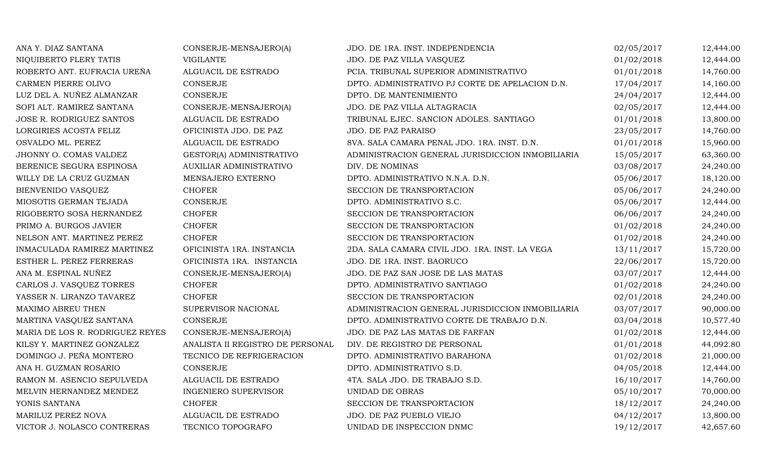| ANA Y. DIAZ SANTANA             | CONSERJE-MENSAJERO(A)            | JDO. DE 1RA. INST. INDEPENDENCIA                 | 02/05/2017 | 12,444.00 |
|---------------------------------|----------------------------------|--------------------------------------------------|------------|-----------|
| NIQUIBERTO FLERY TATIS          | <b>VIGILANTE</b>                 | JDO. DE PAZ VILLA VASQUEZ                        | 01/02/2018 | 12,444.00 |
| ROBERTO ANT. EUFRACIA UREÑA     | ALGUACIL DE ESTRADO              | PCIA. TRIBUNAL SUPERIOR ADMINISTRATIVO           | 01/01/2018 | 14,760.00 |
| CARMEN PIERRE OLIVO             | CONSERJE                         | DPTO. ADMINISTRATIVO PJ CORTE DE APELACION D.N.  | 17/04/2017 | 14,160.00 |
| LUZ DEL A. NUÑEZ ALMANZAR       | CONSERJE                         | DPTO. DE MANTENIMIENTO                           | 24/04/2017 | 12,444.00 |
| SOFI ALT. RAMIREZ SANTANA       | CONSERJE-MENSAJERO(A)            | JDO. DE PAZ VILLA ALTAGRACIA                     | 02/05/2017 | 12,444.00 |
| JOSE R. RODRIGUEZ SANTOS        | ALGUACIL DE ESTRADO              | TRIBUNAL EJEC. SANCION ADOLES. SANTIAGO          | 01/01/2018 | 13,800.00 |
| LORGIRIES ACOSTA FELIZ          | OFICINISTA JDO. DE PAZ           | JDO. DE PAZ PARAISO                              | 23/05/2017 | 14,760.00 |
| OSVALDO ML. PEREZ               | ALGUACIL DE ESTRADO              | 8VA. SALA CAMARA PENAL JDO. 1RA. INST. D.N.      | 01/01/2018 | 15,960.00 |
| JHONNY O. COMAS VALDEZ          | GESTOR(A) ADMINISTRATIVO         | ADMINISTRACION GENERAL JURISDICCION INMOBILIARIA | 15/05/2017 | 63,360.00 |
| BERENICE SEGURA ESPINOSA        | <b>AUXILIAR ADMINISTRATIVO</b>   | DIV. DE NOMINAS                                  | 03/08/2017 | 24,240.00 |
| WILLY DE LA CRUZ GUZMAN         | MENSAJERO EXTERNO                | DPTO. ADMINISTRATIVO N.N.A. D.N.                 | 05/06/2017 | 18,120.00 |
| <b>BIENVENIDO VASQUEZ</b>       | <b>CHOFER</b>                    | SECCION DE TRANSPORTACION                        | 05/06/2017 | 24,240.00 |
| MIOSOTIS GERMAN TEJADA          | <b>CONSERJE</b>                  | DPTO. ADMINISTRATIVO S.C.                        | 05/06/2017 | 12,444.00 |
| RIGOBERTO SOSA HERNANDEZ        | <b>CHOFER</b>                    | SECCION DE TRANSPORTACION                        | 06/06/2017 | 24,240.00 |
| PRIMO A. BURGOS JAVIER          | <b>CHOFER</b>                    | SECCION DE TRANSPORTACION                        | 01/02/2018 | 24,240.00 |
| NELSON ANT. MARTINEZ PEREZ      | <b>CHOFER</b>                    | SECCION DE TRANSPORTACION                        | 01/02/2018 | 24,240.00 |
| INMACULADA RAMIREZ MARTINEZ     | OFICINISTA 1RA. INSTANCIA        | 2DA. SALA CAMARA CIVIL JDO. 1RA. INST. LA VEGA   | 13/11/2017 | 15,720.00 |
| ESTHER L. PEREZ FERRERAS        | OFICINISTA 1RA. INSTANCIA        | JDO. DE 1RA. INST. BAORUCO                       | 22/06/2017 | 15,720.00 |
| ANA M. ESPINAL NUÑEZ            | CONSERJE-MENSAJERO(A)            | JDO. DE PAZ SAN JOSE DE LAS MATAS                | 03/07/2017 | 12,444.00 |
| CARLOS J. VASQUEZ TORRES        | <b>CHOFER</b>                    | DPTO. ADMINISTRATIVO SANTIAGO                    | 01/02/2018 | 24,240.00 |
| YASSER N. LIRANZO TAVAREZ       | <b>CHOFER</b>                    | SECCION DE TRANSPORTACION                        | 02/01/2018 | 24,240.00 |
| MAXIMO ABREU THEN               | SUPERVISOR NACIONAL              | ADMINISTRACION GENERAL JURISDICCION INMOBILIARIA | 03/07/2017 | 90,000.00 |
| MARTINA VASQUEZ SANTANA         | CONSERJE                         | DPTO. ADMINISTRATIVO CORTE DE TRABAJO D.N.       | 03/04/2018 | 10,577.40 |
| MARIA DE LOS R. RODRIGUEZ REYES | CONSERJE-MENSAJERO(A)            | JDO. DE PAZ LAS MATAS DE FARFAN                  | 01/02/2018 | 12,444.00 |
| KILSY Y. MARTINEZ GONZALEZ      | ANALISTA II REGISTRO DE PERSONAL | DIV. DE REGISTRO DE PERSONAL                     | 01/01/2018 | 44,092.80 |
| DOMINGO J. PEÑA MONTERO         | TECNICO DE REFRIGERACION         | DPTO. ADMINISTRATIVO BARAHONA                    | 01/02/2018 | 21,000.00 |
| ANA H. GUZMAN ROSARIO           | CONSERJE                         | DPTO. ADMINISTRATIVO S.D.                        | 04/05/2018 | 12,444.00 |
| RAMON M. ASENCIO SEPULVEDA      | ALGUACIL DE ESTRADO              | 4TA. SALA JDO. DE TRABAJO S.D.                   | 16/10/2017 | 14,760.00 |
| MELVIN HERNANDEZ MENDEZ         | <b>INGENIERO SUPERVISOR</b>      | UNIDAD DE OBRAS                                  | 05/10/2017 | 70,000.00 |
| YONIS SANTANA                   | <b>CHOFER</b>                    | SECCION DE TRANSPORTACION                        | 18/12/2017 | 24,240.00 |
| MARILUZ PEREZ NOVA              | ALGUACIL DE ESTRADO              | JDO. DE PAZ PUEBLO VIEJO                         | 04/12/2017 | 13,800.00 |
| VICTOR J. NOLASCO CONTRERAS     | TECNICO TOPOGRAFO                | UNIDAD DE INSPECCION DNMC                        | 19/12/2017 | 42,657.60 |
|                                 |                                  |                                                  |            |           |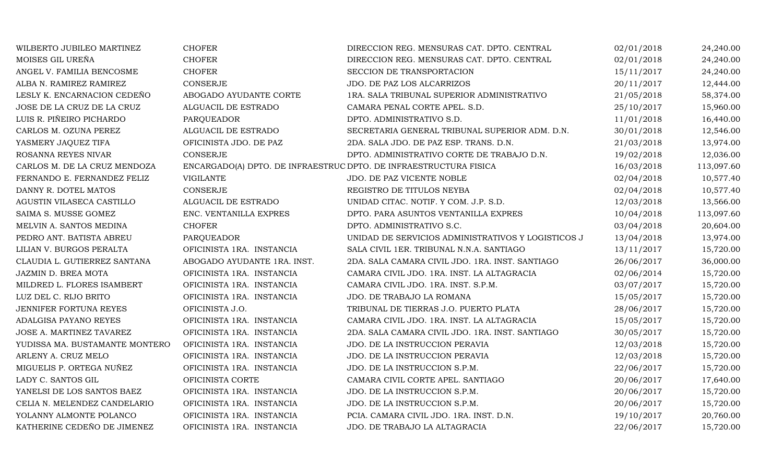| WILBERTO JUBILEO MARTINEZ      | <b>CHOFER</b>                                                     | DIRECCION REG. MENSURAS CAT. DPTO. CENTRAL         | 02/01/2018 | 24,240.00  |
|--------------------------------|-------------------------------------------------------------------|----------------------------------------------------|------------|------------|
| MOISES GIL UREÑA               | <b>CHOFER</b>                                                     | DIRECCION REG. MENSURAS CAT. DPTO. CENTRAL         | 02/01/2018 | 24,240.00  |
| ANGEL V. FAMILIA BENCOSME      | <b>CHOFER</b>                                                     | SECCION DE TRANSPORTACION                          | 15/11/2017 | 24,240.00  |
| ALBA N. RAMIREZ RAMIREZ        | CONSERJE                                                          | JDO. DE PAZ LOS ALCARRIZOS                         | 20/11/2017 | 12,444.00  |
| LESLY K. ENCARNACION CEDEÑO    | ABOGADO AYUDANTE CORTE                                            | 1RA. SALA TRIBUNAL SUPERIOR ADMINISTRATIVO         | 21/05/2018 | 58,374.00  |
| JOSE DE LA CRUZ DE LA CRUZ     | ALGUACIL DE ESTRADO                                               | CAMARA PENAL CORTE APEL. S.D.                      | 25/10/2017 | 15,960.00  |
| LUIS R. PIÑEIRO PICHARDO       | PARQUEADOR                                                        | DPTO. ADMINISTRATIVO S.D.                          | 11/01/2018 | 16,440.00  |
| CARLOS M. OZUNA PEREZ          | ALGUACIL DE ESTRADO                                               | SECRETARIA GENERAL TRIBUNAL SUPERIOR ADM. D.N.     | 30/01/2018 | 12,546.00  |
| YASMERY JAQUEZ TIFA            | OFICINISTA JDO. DE PAZ                                            | 2DA. SALA JDO. DE PAZ ESP. TRANS. D.N.             | 21/03/2018 | 13,974.00  |
| ROSANNA REYES NIVAR            | <b>CONSERJE</b>                                                   | DPTO. ADMINISTRATIVO CORTE DE TRABAJO D.N.         | 19/02/2018 | 12,036.00  |
| CARLOS M. DE LA CRUZ MENDOZA   | ENCARGADO(A) DPTO. DE INFRAESTRUC DPTO. DE INFRAESTRUCTURA FISICA |                                                    | 16/03/2018 | 113,097.60 |
| FERNANDO E. FERNANDEZ FELIZ    | <b>VIGILANTE</b>                                                  | JDO. DE PAZ VICENTE NOBLE                          | 02/04/2018 | 10,577.40  |
| DANNY R. DOTEL MATOS           | <b>CONSERJE</b>                                                   | REGISTRO DE TITULOS NEYBA                          | 02/04/2018 | 10,577.40  |
| AGUSTIN VILASECA CASTILLO      | ALGUACIL DE ESTRADO                                               | UNIDAD CITAC. NOTIF. Y COM. J.P. S.D.              | 12/03/2018 | 13,566.00  |
| SAIMA S. MUSSE GOMEZ           | ENC. VENTANILLA EXPRES                                            | DPTO. PARA ASUNTOS VENTANILLA EXPRES               | 10/04/2018 | 113,097.60 |
| MELVIN A. SANTOS MEDINA        | <b>CHOFER</b>                                                     | DPTO. ADMINISTRATIVO S.C.                          | 03/04/2018 | 20,604.00  |
| PEDRO ANT. BATISTA ABREU       | PARQUEADOR                                                        | UNIDAD DE SERVICIOS ADMINISTRATIVOS Y LOGISTICOS J | 13/04/2018 | 13,974.00  |
| LILIAN V. BURGOS PERALTA       | OFICINISTA 1RA. INSTANCIA                                         | SALA CIVIL 1ER. TRIBUNAL N.N.A. SANTIAGO           | 13/11/2017 | 15,720.00  |
| CLAUDIA L. GUTIERREZ SANTANA   | ABOGADO AYUDANTE 1RA. INST.                                       | 2DA. SALA CAMARA CIVIL JDO. 1RA. INST. SANTIAGO    | 26/06/2017 | 36,000.00  |
| JAZMIN D. BREA MOTA            | OFICINISTA 1RA. INSTANCIA                                         | CAMARA CIVIL JDO. 1RA. INST. LA ALTAGRACIA         | 02/06/2014 | 15,720.00  |
| MILDRED L. FLORES ISAMBERT     | OFICINISTA 1RA. INSTANCIA                                         | CAMARA CIVIL JDO. 1RA. INST. S.P.M.                | 03/07/2017 | 15,720.00  |
| LUZ DEL C. RIJO BRITO          | OFICINISTA 1RA. INSTANCIA                                         | JDO. DE TRABAJO LA ROMANA                          | 15/05/2017 | 15,720.00  |
| JENNIFER FORTUNA REYES         | OFICINISTA J.O.                                                   | TRIBUNAL DE TIERRAS J.O. PUERTO PLATA              | 28/06/2017 | 15,720.00  |
| ADALGISA PAYANO REYES          | OFICINISTA 1RA. INSTANCIA                                         | CAMARA CIVIL JDO. 1RA. INST. LA ALTAGRACIA         | 15/05/2017 | 15,720.00  |
| JOSE A. MARTINEZ TAVAREZ       | OFICINISTA 1RA. INSTANCIA                                         | 2DA. SALA CAMARA CIVIL JDO. 1RA. INST. SANTIAGO    | 30/05/2017 | 15,720.00  |
| YUDISSA MA. BUSTAMANTE MONTERO | OFICINISTA 1RA. INSTANCIA                                         | JDO. DE LA INSTRUCCION PERAVIA                     | 12/03/2018 | 15,720.00  |
| ARLENY A. CRUZ MELO            | OFICINISTA 1RA. INSTANCIA                                         | JDO. DE LA INSTRUCCION PERAVIA                     | 12/03/2018 | 15,720.00  |
| MIGUELIS P. ORTEGA NUÑEZ       | OFICINISTA 1RA. INSTANCIA                                         | JDO. DE LA INSTRUCCION S.P.M.                      | 22/06/2017 | 15,720.00  |
| LADY C. SANTOS GIL             | OFICINISTA CORTE                                                  | CAMARA CIVIL CORTE APEL. SANTIAGO                  | 20/06/2017 | 17,640.00  |
| YANELSI DE LOS SANTOS BAEZ     | OFICINISTA 1RA. INSTANCIA                                         | JDO. DE LA INSTRUCCION S.P.M.                      | 20/06/2017 | 15,720.00  |
| CELIA N. MELENDEZ CANDELARIO   | OFICINISTA 1RA. INSTANCIA                                         | JDO. DE LA INSTRUCCION S.P.M.                      | 20/06/2017 | 15,720.00  |
| YOLANNY ALMONTE POLANCO        | OFICINISTA 1RA. INSTANCIA                                         | PCIA. CAMARA CIVIL JDO. 1RA. INST. D.N.            | 19/10/2017 | 20,760.00  |
| KATHERINE CEDEÑO DE JIMENEZ    | OFICINISTA 1RA. INSTANCIA                                         | JDO. DE TRABAJO LA ALTAGRACIA                      | 22/06/2017 | 15,720.00  |
|                                |                                                                   |                                                    |            |            |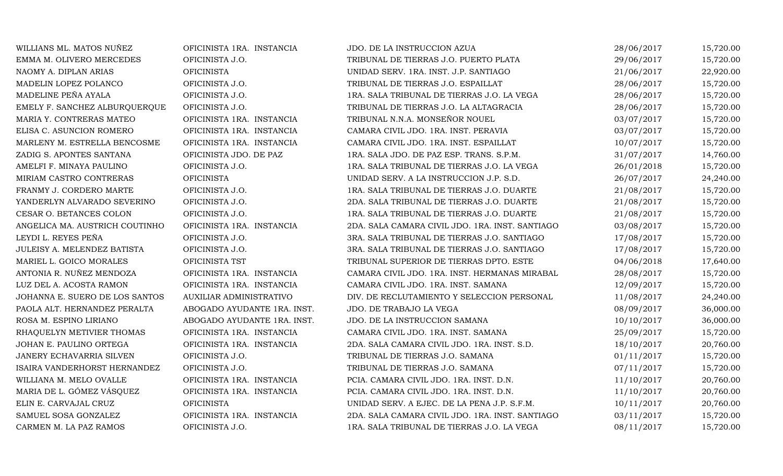| WILLIANS ML. MATOS NUÑEZ       | OFICINISTA 1RA. INSTANCIA   | JDO. DE LA INSTRUCCION AZUA                     | 28/06/2017 | 15,720.00 |
|--------------------------------|-----------------------------|-------------------------------------------------|------------|-----------|
| EMMA M. OLIVERO MERCEDES       | OFICINISTA J.O.             | TRIBUNAL DE TIERRAS J.O. PUERTO PLATA           | 29/06/2017 | 15,720.00 |
| NAOMY A. DIPLAN ARIAS          | <b>OFICINISTA</b>           | UNIDAD SERV. 1RA. INST. J.P. SANTIAGO           | 21/06/2017 | 22,920.00 |
| MADELIN LOPEZ POLANCO          | OFICINISTA J.O.             | TRIBUNAL DE TIERRAS J.O. ESPAILLAT              | 28/06/2017 | 15,720.00 |
| MADELINE PEÑA AYALA            | OFICINISTA J.O.             | 1RA. SALA TRIBUNAL DE TIERRAS J.O. LA VEGA      | 28/06/2017 | 15,720.00 |
| EMELY F. SANCHEZ ALBURQUERQUE  | OFICINISTA J.O.             | TRIBUNAL DE TIERRAS J.O. LA ALTAGRACIA          | 28/06/2017 | 15,720.00 |
| MARIA Y. CONTRERAS MATEO       | OFICINISTA 1RA. INSTANCIA   | TRIBUNAL N.N.A. MONSEÑOR NOUEL                  | 03/07/2017 | 15,720.00 |
| ELISA C. ASUNCION ROMERO       | OFICINISTA 1RA. INSTANCIA   | CAMARA CIVIL JDO. 1RA. INST. PERAVIA            | 03/07/2017 | 15,720.00 |
| MARLENY M. ESTRELLA BENCOSME   | OFICINISTA 1RA. INSTANCIA   | CAMARA CIVIL JDO. 1RA. INST. ESPAILLAT          | 10/07/2017 | 15,720.00 |
| ZADIG S. APONTES SANTANA       | OFICINISTA JDO. DE PAZ      | 1RA. SALA JDO. DE PAZ ESP. TRANS. S.P.M.        | 31/07/2017 | 14,760.00 |
| AMELFI F. MINAYA PAULINO       | OFICINISTA J.O.             | 1RA. SALA TRIBUNAL DE TIERRAS J.O. LA VEGA      | 26/01/2018 | 15,720.00 |
| MIRIAM CASTRO CONTRERAS        | <b>OFICINISTA</b>           | UNIDAD SERV. A LA INSTRUCCION J.P. S.D.         | 26/07/2017 | 24,240.00 |
| FRANMY J. CORDERO MARTE        | OFICINISTA J.O.             | 1RA. SALA TRIBUNAL DE TIERRAS J.O. DUARTE       | 21/08/2017 | 15,720.00 |
| YANDERLYN ALVARADO SEVERINO    | OFICINISTA J.O.             | 2DA. SALA TRIBUNAL DE TIERRAS J.O. DUARTE       | 21/08/2017 | 15,720.00 |
| CESAR O. BETANCES COLON        | OFICINISTA J.O.             | 1RA. SALA TRIBUNAL DE TIERRAS J.O. DUARTE       | 21/08/2017 | 15,720.00 |
| ANGELICA MA. AUSTRICH COUTINHO | OFICINISTA 1RA. INSTANCIA   | 2DA. SALA CAMARA CIVIL JDO. 1RA. INST. SANTIAGO | 03/08/2017 | 15,720.00 |
| LEYDI L. REYES PEÑA            | OFICINISTA J.O.             | 3RA. SALA TRIBUNAL DE TIERRAS J.O. SANTIAGO     | 17/08/2017 | 15,720.00 |
| JULEISY A. MELENDEZ BATISTA    | OFICINISTA J.O.             | 3RA. SALA TRIBUNAL DE TIERRAS J.O. SANTIAGO     | 17/08/2017 | 15,720.00 |
| MARIEL L. GOICO MORALES        | OFICINISTA TST              | TRIBUNAL SUPERIOR DE TIERRAS DPTO. ESTE         | 04/06/2018 | 17,640.00 |
| ANTONIA R. NUÑEZ MENDOZA       | OFICINISTA 1RA. INSTANCIA   | CAMARA CIVIL JDO. 1RA. INST. HERMANAS MIRABAL   | 28/08/2017 | 15,720.00 |
| LUZ DEL A. ACOSTA RAMON        | OFICINISTA 1RA. INSTANCIA   | CAMARA CIVIL JDO. 1RA. INST. SAMANA             | 12/09/2017 | 15,720.00 |
| JOHANNA E. SUERO DE LOS SANTOS | AUXILIAR ADMINISTRATIVO     | DIV. DE RECLUTAMIENTO Y SELECCION PERSONAL      | 11/08/2017 | 24,240.00 |
| PAOLA ALT. HERNANDEZ PERALTA   | ABOGADO AYUDANTE 1RA. INST. | JDO. DE TRABAJO LA VEGA                         | 08/09/2017 | 36,000.00 |
| ROSA M. ESPINO LIRIANO         | ABOGADO AYUDANTE 1RA. INST. | JDO. DE LA INSTRUCCION SAMANA                   | 10/10/2017 | 36,000.00 |
| RHAQUELYN METIVIER THOMAS      | OFICINISTA 1RA. INSTANCIA   | CAMARA CIVIL JDO. 1RA. INST. SAMANA             | 25/09/2017 | 15,720.00 |
| JOHAN E. PAULINO ORTEGA        | OFICINISTA 1RA. INSTANCIA   | 2DA. SALA CAMARA CIVIL JDO. 1RA. INST. S.D.     | 18/10/2017 | 20,760.00 |
| JANERY ECHAVARRIA SILVEN       | OFICINISTA J.O.             | TRIBUNAL DE TIERRAS J.O. SAMANA                 | 01/11/2017 | 15,720.00 |
| ISAIRA VANDERHORST HERNANDEZ   | OFICINISTA J.O.             | TRIBUNAL DE TIERRAS J.O. SAMANA                 | 07/11/2017 | 15,720.00 |
| WILLIANA M. MELO OVALLE        | OFICINISTA 1RA. INSTANCIA   | PCIA. CAMARA CIVIL JDO. 1RA. INST. D.N.         | 11/10/2017 | 20,760.00 |
| MARIA DE L. GÓMEZ VÁSQUEZ      | OFICINISTA 1RA. INSTANCIA   | PCIA. CAMARA CIVIL JDO. 1RA. INST. D.N.         | 11/10/2017 | 20,760.00 |
| ELIN E. CARVAJAL CRUZ          | <b>OFICINISTA</b>           | UNIDAD SERV. A EJEC. DE LA PENA J.P. S.F.M.     | 10/11/2017 | 20,760.00 |
| SAMUEL SOSA GONZALEZ           | OFICINISTA 1RA. INSTANCIA   | 2DA. SALA CAMARA CIVIL JDO. 1RA. INST. SANTIAGO | 03/11/2017 | 15,720.00 |
| CARMEN M. LA PAZ RAMOS         | OFICINISTA J.O.             | 1RA. SALA TRIBUNAL DE TIERRAS J.O. LA VEGA      | 08/11/2017 | 15,720.00 |